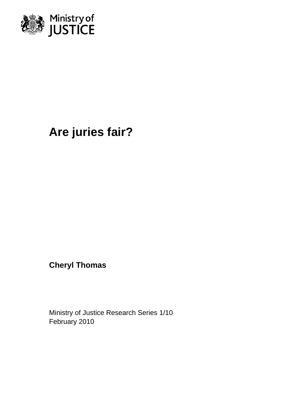

# **Are juries fair?**

**Cheryl Thomas**

Ministry of Justice Research Series 1/10 February 2010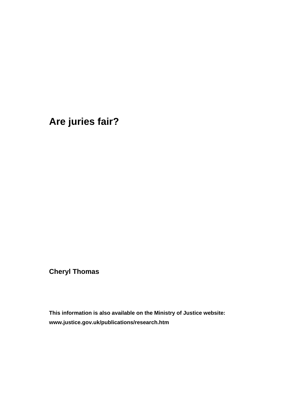**Are juries fair?** 

**Cheryl Thomas** 

**This information is also available on the Ministry of Justice website: [www.justice.gov.uk/publications/research.htm](http://www.justice.gov.uk/publications/research.htm)**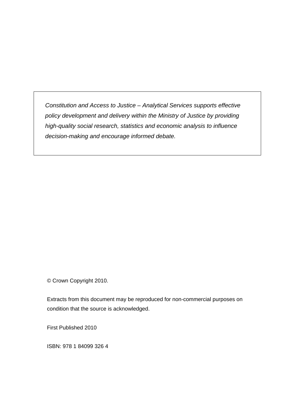*Constitution and Access to Justice – Analytical Services supports effective policy development and delivery within the Ministry of Justice by providing high-quality social research, statistics and economic analysis to influence decision-making and encourage informed debate.* 

© Crown Copyright 2010.

Extracts from this document may be reproduced for non-commercial purposes on condition that the source is acknowledged.

First Published 2010

ISBN: 978 1 84099 326 4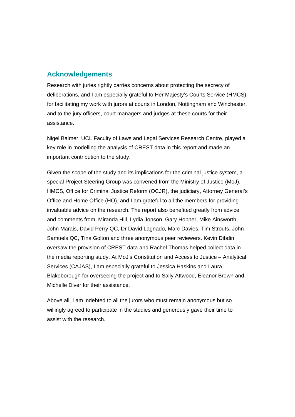#### **Acknowledgements**

Research with juries rightly carries concerns about protecting the secrecy of deliberations, and I am especially grateful to Her Majesty's Courts Service (HMCS) for facilitating my work with jurors at courts in London, Nottingham and Winchester, and to the jury officers, court managers and judges at these courts for their assistance.

Nigel Balmer, UCL Faculty of Laws and Legal Services Research Centre, played a key role in modelling the analysis of CREST data in this report and made an important contribution to the study.

Given the scope of the study and its implications for the criminal justice system, a special Project Steering Group was convened from the Ministry of Justice (MoJ), HMCS, Office for Criminal Justice Reform (OCJR), the judiciary, Attorney General's Office and Home Office (HO), and I am grateful to all the members for providing invaluable advice on the research. The report also benefited greatly from advice and comments from: Miranda Hill, Lydia Jonson, Gary Hopper, Mike Ainsworth, John Marais, David Perry QC, Dr David Lagnado, Marc Davies, Tim Strouts, John Samuels QC, Tina Golton and three anonymous peer reviewers. Kevin Dibdin oversaw the provision of CREST data and Rachel Thomas helped collect data in the media reporting study. At MoJ's Constitution and Access to Justice – Analytical Services (CAJAS), I am especially grateful to Jessica Haskins and Laura Blakeborough for overseeing the project and to Sally Attwood, Eleanor Brown and Michelle Diver for their assistance.

Above all, I am indebted to all the jurors who must remain anonymous but so willingly agreed to participate in the studies and generously gave their time to assist with the research.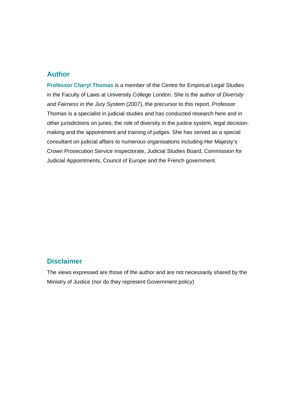#### **Author**

**Professor Cheryl Thomas** is a member of the Centre for Empirical Legal Studies in the Faculty of Laws at University College London. She is the author of *Diversity and Fairness in the Jury System* (2007), the precursor to this report. Professor Thomas is a specialist in judicial studies and has conducted research here and in other jurisdictions on juries, the role of diversity in the justice system, legal decisionmaking and the appointment and training of judges. She has served as a special consultant on judicial affairs to numerous organisations including Her Majesty's Crown Prosecution Service Inspectorate, Judicial Studies Board, Commission for Judicial Appointments, Council of Europe and the French government.

#### **Disclaimer**

The views expressed are those of the author and are not necessarily shared by the Ministry of Justice (nor do they represent Government policy)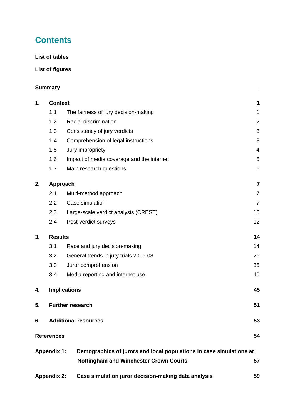# **Contents**

#### **List of tables**

#### **List of figures**

|                    | <b>Summary</b>              |                                                                                                                      | j               |
|--------------------|-----------------------------|----------------------------------------------------------------------------------------------------------------------|-----------------|
| 1.                 | <b>Context</b>              |                                                                                                                      | 1               |
|                    | 1.1                         | The fairness of jury decision-making                                                                                 | 1               |
|                    | 1.2                         | Racial discrimination                                                                                                | $\overline{2}$  |
|                    | 1.3                         | Consistency of jury verdicts                                                                                         | 3               |
|                    | 1.4                         | Comprehension of legal instructions                                                                                  | 3               |
|                    | 1.5                         | Jury impropriety                                                                                                     | $\overline{4}$  |
|                    | 1.6                         | Impact of media coverage and the internet                                                                            | 5               |
|                    | 1.7                         | Main research questions                                                                                              | $6\phantom{1}6$ |
| 2.                 |                             | Approach                                                                                                             | 7               |
|                    | 2.1                         | Multi-method approach                                                                                                | 7               |
|                    | 2.2                         | Case simulation                                                                                                      | $\overline{7}$  |
|                    | 2.3                         | Large-scale verdict analysis (CREST)                                                                                 | 10              |
|                    | 2.4                         | Post-verdict surveys                                                                                                 | 12              |
| 3.                 | <b>Results</b>              |                                                                                                                      | 14              |
|                    | 3.1                         | Race and jury decision-making                                                                                        | 14              |
|                    | 3.2                         | General trends in jury trials 2006-08                                                                                | 26              |
|                    | 3.3                         | Juror comprehension                                                                                                  | 35              |
|                    | 3.4                         | Media reporting and internet use                                                                                     | 40              |
| 4.                 |                             | <b>Implications</b>                                                                                                  | 45              |
| 5.                 |                             | <b>Further research</b>                                                                                              | 51              |
| 6.                 | <b>Additional resources</b> |                                                                                                                      | 53              |
|                    | <b>References</b>           |                                                                                                                      | 54              |
|                    | <b>Appendix 1:</b>          | Demographics of jurors and local populations in case simulations at<br><b>Nottingham and Winchester Crown Courts</b> | 57              |
| <b>Appendix 2:</b> |                             | Case simulation juror decision-making data analysis                                                                  |                 |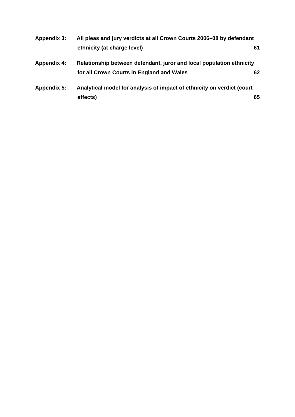| Appendix 3:        | All pleas and jury verdicts at all Crown Courts 2006-08 by defendant   |    |  |
|--------------------|------------------------------------------------------------------------|----|--|
|                    | ethnicity (at charge level)                                            | 61 |  |
| <b>Appendix 4:</b> | Relationship between defendant, juror and local population ethnicity   |    |  |
|                    | for all Crown Courts in England and Wales                              | 62 |  |
| Appendix 5:        | Analytical model for analysis of impact of ethnicity on verdict (court |    |  |
|                    | effects)                                                               | 65 |  |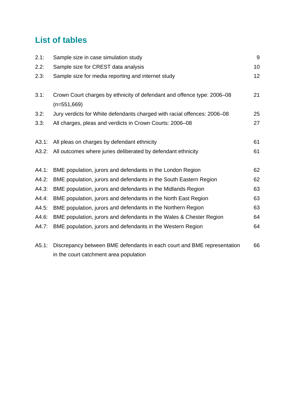# **List of tables**

| 2.1:  | Sample size in case simulation study                                                     | 9  |
|-------|------------------------------------------------------------------------------------------|----|
| 2.2:  | Sample size for CREST data analysis                                                      | 10 |
| 2.3:  | Sample size for media reporting and internet study                                       | 12 |
| 3.1:  | Crown Court charges by ethnicity of defendant and offence type: 2006-08<br>$(n=551,669)$ | 21 |
| 3.2:  | Jury verdicts for White defendants charged with racial offences: 2006-08                 | 25 |
| 3.3:  | All charges, pleas and verdicts in Crown Courts: 2006-08                                 | 27 |
| A3.1: | All pleas on charges by defendant ethnicity                                              | 61 |
| A3.2: | All outcomes where juries deliberated by defendant ethnicity                             | 61 |
| A4.1: | BME population, jurors and defendants in the London Region                               | 62 |
| A4.2: | BME population, jurors and defendants in the South Eastern Region                        | 62 |
| A4.3: | BME population, jurors and defendants in the Midlands Region                             | 63 |
| A4.4: | BME population, jurors and defendants in the North East Region                           | 63 |
| A4.5: | BME population, jurors and defendants in the Northern Region                             | 63 |
| A4.6: | BME population, jurors and defendants in the Wales & Chester Region                      | 64 |
| A4.7: | BME population, jurors and defendants in the Western Region                              | 64 |
| A5.1: | Discrepancy between BME defendants in each court and BME representation                  | 66 |

A5.1: Discrepancy between BME defendants in each court and BME representation in the court catchment area population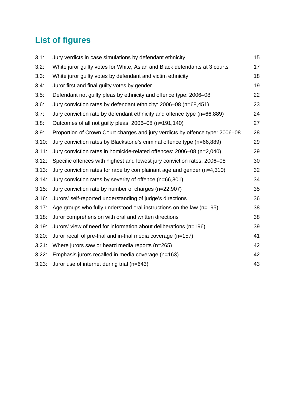# **List of figures**

| 3.1:  | Jury verdicts in case simulations by defendant ethnicity                     | 15 |
|-------|------------------------------------------------------------------------------|----|
| 3.2:  | White juror guilty votes for White, Asian and Black defendants at 3 courts   | 17 |
| 3.3:  | White juror guilty votes by defendant and victim ethnicity                   | 18 |
| 3.4:  | Juror first and final guilty votes by gender                                 | 19 |
| 3.5:  | Defendant not guilty pleas by ethnicity and offence type: 2006-08            | 22 |
| 3.6:  | Jury conviction rates by defendant ethnicity: 2006-08 (n=68,451)             | 23 |
| 3.7:  | Jury conviction rate by defendant ethnicity and offence type (n=66,889)      | 24 |
| 3.8:  | Outcomes of all not guilty pleas: 2006–08 (n=191,140)                        | 27 |
| 3.9:  | Proportion of Crown Court charges and jury verdicts by offence type: 2006–08 | 28 |
| 3.10: | Jury conviction rates by Blackstone's criminal offence type (n=66,889)       | 29 |
| 3.11: | Jury conviction rates in homicide-related offences: 2006–08 (n=2,040)        | 29 |
| 3.12: | Specific offences with highest and lowest jury conviction rates: 2006–08     | 30 |
| 3.13: | Jury conviction rates for rape by complainant age and gender (n=4,310)       | 32 |
| 3.14: | Jury conviction rates by severity of offence (n=66,801)                      | 34 |
| 3.15: | Jury conviction rate by number of charges (n=22,907)                         | 35 |
| 3.16: | Jurors' self-reported understanding of judge's directions                    | 36 |
| 3.17: | Age groups who fully understood oral instructions on the law $(n=195)$       | 38 |
| 3.18: | Juror comprehension with oral and written directions                         | 38 |
| 3.19: | Jurors' view of need for information about deliberations (n=196)             | 39 |
| 3.20: | Juror recall of pre-trial and in-trial media coverage (n=157)                | 41 |
| 3.21: | Where jurors saw or heard media reports (n=265)                              | 42 |
| 3.22: | Emphasis jurors recalled in media coverage (n=163)                           | 42 |
| 3.23: | Juror use of internet during trial (n=643)                                   | 43 |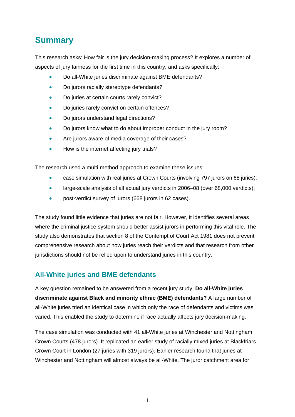# <span id="page-10-0"></span>**Summary**

This research asks: How fair is the jury decision-making process? It explores a number of aspects of jury fairness for the first time in this country, and asks specifically:

- Do all-White juries discriminate against BME defendants?
- Do jurors racially stereotype defendants?
- Do juries at certain courts rarely convict?
- Do juries rarely convict on certain offences?
- Do jurors understand legal directions?
- Do jurors know what to do about improper conduct in the jury room?
- Are jurors aware of media coverage of their cases?
- How is the internet affecting jury trials?

The research used a multi-method approach to examine these issues:

- case simulation with real juries at Crown Courts (involving 797 jurors on 68 juries);
- large-scale analysis of all actual jury verdicts in 2006–08 (over 68,000 verdicts);
- post-verdict survey of jurors (668 jurors in 62 cases).

The study found little evidence that juries are not fair. However, it identifies several areas where the criminal justice system should better assist jurors in performing this vital role. The study also demonstrates that section 8 of the Contempt of Court Act 1981 does not prevent comprehensive research about how juries reach their verdicts and that research from other jurisdictions should not be relied upon to understand juries in this country.

#### **All-White juries and BME defendants**

A key question remained to be answered from a recent jury study: **Do all-White juries discriminate against Black and minority ethnic (BME) defendants?** A large number of all-White juries tried an identical case in which only the race of defendants and victims was varied. This enabled the study to determine if race actually affects jury decision-making.

The case simulation was conducted with 41 all-White juries at Winchester and Nottingham Crown Courts (478 jurors). It replicated an earlier study of racially mixed juries at Blackfriars Crown Court in London (27 juries with 319 jurors). Earlier research found that juries at Winchester and Nottingham will almost always be all-White. The juror catchment area for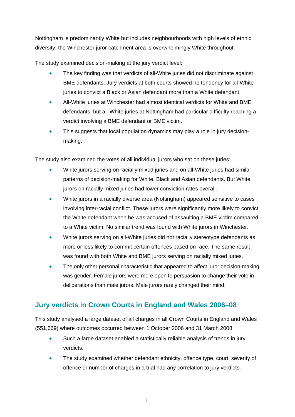Nottingham is predominantly White but includes neighbourhoods with high levels of ethnic diversity; the Winchester juror catchment area is overwhelmingly White throughout.

The study examined decision-making at the jury verdict level:

- The key finding was that verdicts of all-White juries did not discriminate against BME defendants. Jury verdicts at both courts showed no tendency for all-White juries to convict a Black or Asian defendant more than a White defendant.
- All-White juries at Winchester had almost identical verdicts for White and BME defendants, but all-White juries at Nottingham had particular difficulty reaching a verdict involving a BME defendant or BME victim.
- This suggests that local population dynamics may play a role in jury decisionmaking.

The study also examined the votes of all individual jurors who sat on these juries:

- White jurors serving on racially mixed juries and on all-White juries had similar patterns of decision-making for White, Black and Asian defendants. But White jurors on racially mixed juries had lower conviction rates overall.
- White jurors in a racially diverse area (Nottingham) appeared sensitive to cases involving inter-racial conflict. These jurors were significantly more likely to convict the White defendant when he was accused of assaulting a BME victim compared to a White victim. No similar trend was found with White jurors in Winchester.
- White jurors serving on all-White juries did not racially stereotype defendants as more or less likely to commit certain offences based on race. The same result was found with both White and BME jurors serving on racially mixed juries.
- The only other personal characteristic that appeared to affect juror decision-making was gender. Female jurors were more open to persuasion to change their vote in deliberations than male jurors. Male jurors rarely changed their mind.

## **Jury verdicts in Crown Courts in England and Wales 2006–08**

This study analysed a large dataset of all charges in all Crown Courts in England and Wales (551,669) where outcomes occurred between 1 October 2006 and 31 March 2008.

- Such a large dataset enabled a statistically reliable analysis of trends in jury verdicts.
- The study examined whether defendant ethnicity, offence type, court, severity of offence or number of charges in a trial had any correlation to jury verdicts.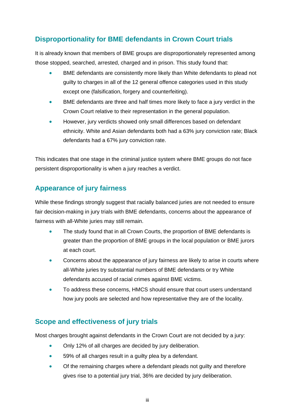# **Disproportionality for BME defendants in Crown Court trials**

It is already known that members of BME groups are disproportionately represented among those stopped, searched, arrested, charged and in prison. This study found that:

- BME defendants are consistently more likely than White defendants to plead not guilty to charges in all of the 12 general offence categories used in this study except one (falsification, forgery and counterfeiting).
- BME defendants are three and half times more likely to face a jury verdict in the Crown Court relative to their representation in the general population.
- However, jury verdicts showed only small differences based on defendant ethnicity. White and Asian defendants both had a 63% jury conviction rate; Black defendants had a 67% jury conviction rate.

This indicates that one stage in the criminal justice system where BME groups do not face persistent disproportionality is when a jury reaches a verdict.

## **Appearance of jury fairness**

While these findings strongly suggest that racially balanced juries are not needed to ensure fair decision-making in jury trials with BME defendants, concerns about the appearance of fairness with all-White juries may still remain.

- The study found that in all Crown Courts, the proportion of BME defendants is greater than the proportion of BME groups in the local population or BME jurors at each court.
- Concerns about the appearance of jury fairness are likely to arise in courts where all-White juries try substantial numbers of BME defendants or try White defendants accused of racial crimes against BME victims.
- To address these concerns, HMCS should ensure that court users understand how jury pools are selected and how representative they are of the locality.

## **Scope and effectiveness of jury trials**

Most charges brought against defendants in the Crown Court are not decided by a jury:

- Only 12% of all charges are decided by jury deliberation.
- 59% of all charges result in a guilty plea by a defendant.
- Of the remaining charges where a defendant pleads not guilty and therefore gives rise to a potential jury trial, 36% are decided by jury deliberation.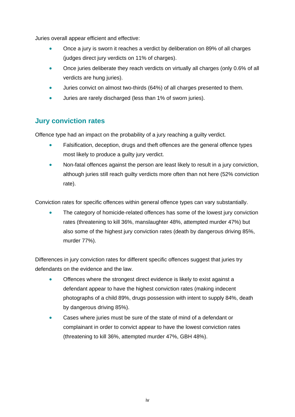Juries overall appear efficient and effective:

- Once a jury is sworn it reaches a verdict by deliberation on 89% of all charges (judges direct jury verdicts on 11% of charges).
- Once juries deliberate they reach verdicts on virtually all charges (only 0.6% of all verdicts are hung juries).
- Juries convict on almost two-thirds (64%) of all charges presented to them.
- Juries are rarely discharged (less than 1% of sworn juries).

## **Jury conviction rates**

Offence type had an impact on the probability of a jury reaching a guilty verdict.

- Falsification, deception, drugs and theft offences are the general offence types most likely to produce a guilty jury verdict.
- Non-fatal offences against the person are least likely to result in a jury conviction, although juries still reach guilty verdicts more often than not here (52% conviction rate).

Conviction rates for specific offences within general offence types can vary substantially.

 The category of homicide-related offences has some of the lowest jury conviction rates (threatening to kill 36%, manslaughter 48%, attempted murder 47%) but also some of the highest jury conviction rates (death by dangerous driving 85%, murder 77%).

Differences in jury conviction rates for different specific offences suggest that juries try defendants on the evidence and the law.

- Offences where the strongest direct evidence is likely to exist against a defendant appear to have the highest conviction rates (making indecent photographs of a child 89%, drugs possession with intent to supply 84%, death by dangerous driving 85%).
- Cases where juries must be sure of the state of mind of a defendant or complainant in order to convict appear to have the lowest conviction rates (threatening to kill 36%, attempted murder 47%, GBH 48%).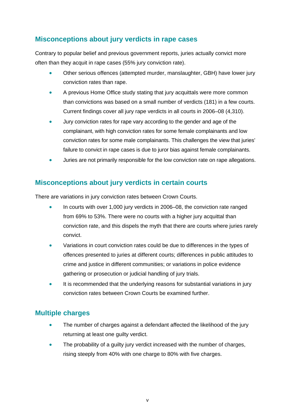## **Misconceptions about jury verdicts in rape cases**

Contrary to popular belief and previous government reports, juries actually convict more often than they acquit in rape cases (55% jury conviction rate).

- Other serious offences (attempted murder, manslaughter, GBH) have lower jury conviction rates than rape.
- A previous Home Office study stating that jury acquittals were more common than convictions was based on a small number of verdicts (181) in a few courts. Current findings cover all jury rape verdicts in all courts in 2006–08 (4,310).
- Jury conviction rates for rape vary according to the gender and age of the complainant, with high conviction rates for some female complainants and low conviction rates for some male complainants. This challenges the view that juries' failure to convict in rape cases is due to juror bias against female complainants.
- Juries are not primarily responsible for the low conviction rate on rape allegations.

#### **Misconceptions about jury verdicts in certain courts**

There are variations in jury conviction rates between Crown Courts.

- In courts with over 1,000 jury verdicts in 2006–08, the conviction rate ranged from 69% to 53%. There were no courts with a higher jury acquittal than conviction rate, and this dispels the myth that there are courts where juries rarely convict.
- Variations in court conviction rates could be due to differences in the types of offences presented to juries at different courts; differences in public attitudes to crime and justice in different communities; or variations in police evidence gathering or prosecution or judicial handling of jury trials.
- It is recommended that the underlying reasons for substantial variations in jury conviction rates between Crown Courts be examined further.

#### **Multiple charges**

- The number of charges against a defendant affected the likelihood of the jury returning at least one guilty verdict.
- The probability of a guilty jury verdict increased with the number of charges, rising steeply from 40% with one charge to 80% with five charges.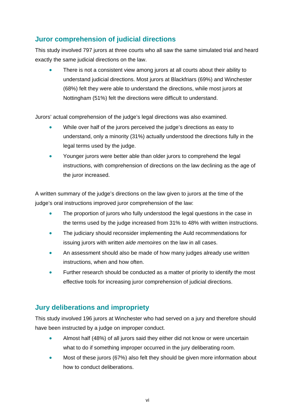# **Juror comprehension of judicial directions**

This study involved 797 jurors at three courts who all saw the same simulated trial and heard exactly the same judicial directions on the law.

 There is not a consistent view among jurors at all courts about their ability to understand judicial directions. Most jurors at Blackfriars (69%) and Winchester (68%) felt they were able to understand the directions, while most jurors at Nottingham (51%) felt the directions were difficult to understand.

Jurors' actual comprehension of the judge's legal directions was also examined.

- While over half of the jurors perceived the judge's directions as easy to understand, only a minority (31%) actually understood the directions fully in the legal terms used by the judge.
- Younger jurors were better able than older jurors to comprehend the legal instructions, with comprehension of directions on the law declining as the age of the juror increased.

A written summary of the judge's directions on the law given to jurors at the time of the judge's oral instructions improved juror comprehension of the law:

- The proportion of jurors who fully understood the legal questions in the case in the terms used by the judge increased from 31% to 48% with written instructions.
- The judiciary should reconsider implementing the Auld recommendations for issuing jurors with written *aide memoires* on the law in all cases.
- An assessment should also be made of how many judges already use written instructions, when and how often.
- Further research should be conducted as a matter of priority to identify the most effective tools for increasing juror comprehension of judicial directions.

#### **Jury deliberations and impropriety**

This study involved 196 jurors at Winchester who had served on a jury and therefore should have been instructed by a judge on improper conduct.

- Almost half (48%) of all jurors said they either did not know or were uncertain what to do if something improper occurred in the jury deliberating room.
- Most of these jurors (67%) also felt they should be given more information about how to conduct deliberations.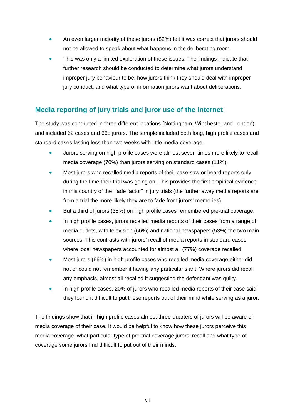- An even larger majority of these jurors (82%) felt it was correct that jurors should not be allowed to speak about what happens in the deliberating room.
- This was only a limited exploration of these issues. The findings indicate that further research should be conducted to determine what jurors understand improper jury behaviour to be; how jurors think they should deal with improper jury conduct; and what type of information jurors want about deliberations.

## **Media reporting of jury trials and juror use of the internet**

The study was conducted in three different locations (Nottingham, Winchester and London) and included 62 cases and 668 jurors. The sample included both long, high profile cases and standard cases lasting less than two weeks with little media coverage.

- Jurors serving on high profile cases were almost seven times more likely to recall media coverage (70%) than jurors serving on standard cases (11%).
- Most jurors who recalled media reports of their case saw or heard reports only during the time their trial was going on. This provides the first empirical evidence in this country of the "fade factor" in jury trials (the further away media reports are from a trial the more likely they are to fade from jurors' memories).
- But a third of jurors (35%) on high profile cases remembered pre-trial coverage.
- In high profile cases, jurors recalled media reports of their cases from a range of media outlets, with television (66%) and national newspapers (53%) the two main sources. This contrasts with jurors' recall of media reports in standard cases, where local newspapers accounted for almost all (77%) coverage recalled.
- Most jurors (66%) in high profile cases who recalled media coverage either did not or could not remember it having any particular slant. Where jurors did recall any emphasis, almost all recalled it suggesting the defendant was guilty.
- In high profile cases, 20% of jurors who recalled media reports of their case said they found it difficult to put these reports out of their mind while serving as a juror.

The findings show that in high profile cases almost three-quarters of jurors will be aware of media coverage of their case. It would be helpful to know how these jurors perceive this media coverage, what particular type of pre-trial coverage jurors' recall and what type of coverage some jurors find difficult to put out of their minds.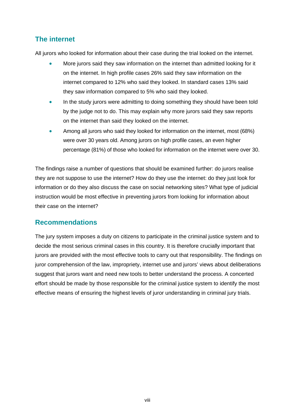## **The internet**

All jurors who looked for information about their case during the trial looked on the internet.

- More jurors said they saw information on the internet than admitted looking for it on the internet. In high profile cases 26% said they saw information on the internet compared to 12% who said they looked. In standard cases 13% said they saw information compared to 5% who said they looked.
- In the study jurors were admitting to doing something they should have been told by the judge not to do. This may explain why more jurors said they saw reports on the internet than said they looked on the internet.
- Among all jurors who said they looked for information on the internet, most (68%) were over 30 years old. Among jurors on high profile cases, an even higher percentage (81%) of those who looked for information on the internet were over 30.

The findings raise a number of questions that should be examined further: do jurors realise they are not suppose to use the internet? How do they use the internet: do they just look for information or do they also discuss the case on social networking sites? What type of judicial instruction would be most effective in preventing jurors from looking for information about their case on the internet?

#### **Recommendations**

The jury system imposes a duty on citizens to participate in the criminal justice system and to decide the most serious criminal cases in this country. It is therefore crucially important that jurors are provided with the most effective tools to carry out that responsibility. The findings on juror comprehension of the law, impropriety, internet use and jurors' views about deliberations suggest that jurors want and need new tools to better understand the process. A concerted effort should be made by those responsible for the criminal justice system to identify the most effective means of ensuring the highest levels of juror understanding in criminal jury trials.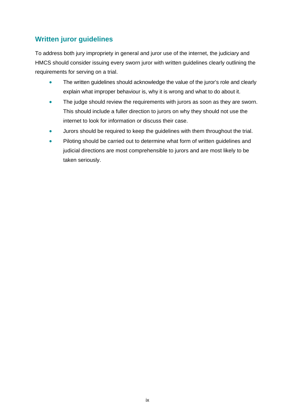# **Written juror guidelines**

To address both jury impropriety in general and juror use of the internet, the judiciary and HMCS should consider issuing every sworn juror with written guidelines clearly outlining the requirements for serving on a trial.

- The written guidelines should acknowledge the value of the juror's role and clearly explain what improper behaviour is, why it is wrong and what to do about it.
- The judge should review the requirements with jurors as soon as they are sworn. This should include a fuller direction to jurors on why they should not use the internet to look for information or discuss their case.
- Jurors should be required to keep the guidelines with them throughout the trial.
- Piloting should be carried out to determine what form of written guidelines and judicial directions are most comprehensible to jurors and are most likely to be taken seriously.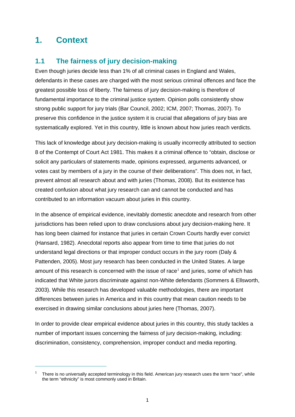# <span id="page-19-0"></span>**1. Context**

 $\overline{a}$ 

#### <span id="page-19-1"></span>**1.1 The fairness of jury decision-making**

Even though juries decide less than 1% of all criminal cases in England and Wales, defendants in these cases are charged with the most serious criminal offences and face the greatest possible loss of liberty. The fairness of jury decision-making is therefore of fundamental importance to the criminal justice system. Opinion polls consistently show strong public support for jury trials (Bar Council, 2002; ICM, 2007; Thomas, 2007). To preserve this confidence in the justice system it is crucial that allegations of jury bias are systematically explored. Yet in this country, little is known about how juries reach verdicts.

This lack of knowledge about jury decision-making is usually incorrectly attributed to section 8 of the Contempt of Court Act 1981. This makes it a criminal offence to "obtain, disclose or solicit any particulars of statements made, opinions expressed, arguments advanced, or votes cast by members of a jury in the course of their deliberations". This does not, in fact, prevent almost all research about and with juries (Thomas, 2008). But its existence has created confusion about what jury research can and cannot be conducted and has contributed to an information vacuum about juries in this country.

In the absence of empirical evidence, inevitably domestic anecdote and research from other jurisdictions has been relied upon to draw conclusions about jury decision-making here. It has long been claimed for instance that juries in certain Crown Courts hardly ever convict (Hansard, 1982). Anecdotal reports also appear from time to time that juries do not understand legal directions or that improper conduct occurs in the jury room (Daly & Pattenden, 2005). Most jury research has been conducted in the United States. A large amount of this research is concerned with the issue of race<sup>[1](#page-19-2)</sup> and juries, some of which has indicated that White jurors discriminate against non-White defendants (Sommers & Ellsworth, 2003). While this research has developed valuable methodologies, there are important differences between juries in America and in this country that mean caution needs to be exercised in drawing similar conclusions about juries here (Thomas, 2007).

In order to provide clear empirical evidence about juries in this country, this study tackles a number of important issues concerning the fairness of jury decision-making, including: discrimination, consistency, comprehension, improper conduct and media reporting.

<span id="page-19-2"></span><sup>1</sup> There is no universally accepted terminology in this field. American jury research uses the term "race", while the term "ethnicity" is most commonly used in Britain.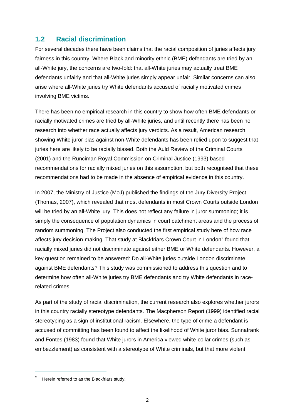#### <span id="page-20-0"></span>**1.2 Racial discrimination**

For several decades there have been claims that the racial composition of juries affects jury fairness in this country. Where Black and minority ethnic (BME) defendants are tried by an all-White jury, the concerns are two-fold: that all-White juries may actually treat BME defendants unfairly and that all-White juries simply appear unfair. Similar concerns can also arise where all-White juries try White defendants accused of racially motivated crimes involving BME victims.

There has been no empirical research in this country to show how often BME defendants or racially motivated crimes are tried by all-White juries, and until recently there has been no research into whether race actually affects jury verdicts. As a result, American research showing White juror bias against non-White defendants has been relied upon to suggest that juries here are likely to be racially biased. Both the Auld Review of the Criminal Courts (2001) and the Runciman Royal Commission on Criminal Justice (1993) based recommendations for racially mixed juries on this assumption, but both recognised that these recommendations had to be made in the absence of empirical evidence in this country.

In 2007, the Ministry of Justice (MoJ) published the findings of the Jury Diversity Project (Thomas, 2007), which revealed that most defendants in most Crown Courts outside London will be tried by an all-White jury. This does not reflect any failure in juror summoning; it is simply the consequence of population dynamics in court catchment areas and the process of random summoning. The Project also conducted the first empirical study here of how race affects jury decision-making. That study at Blackfriars Crown Court in London<sup>[2](#page-20-1)</sup> found that racially mixed juries did not discriminate against either BME or White defendants. However, a key question remained to be answered: Do all-White juries outside London discriminate against BME defendants? This study was commissioned to address this question and to determine how often all-White juries try BME defendants and try White defendants in racerelated crimes.

As part of the study of racial discrimination, the current research also explores whether jurors in this country racially stereotype defendants. The Macpherson Report (1999) identified racial stereotyping as a sign of institutional racism. Elsewhere, the type of crime a defendant is accused of committing has been found to affect the likelihood of White juror bias. Sunnafrank and Fontes (1983) found that White jurors in America viewed white-collar crimes (such as embezzlement) as consistent with a stereotype of White criminals, but that more violent

<span id="page-20-1"></span><sup>2</sup> Herein referred to as the Blackfriars study.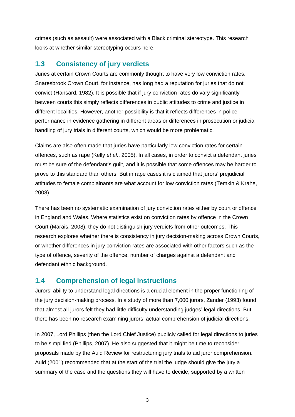crimes (such as assault) were associated with a Black criminal stereotype. This research looks at whether similar stereotyping occurs here.

#### <span id="page-21-0"></span>**1.3 Consistency of jury verdicts**

Juries at certain Crown Courts are commonly thought to have very low conviction rates. Snaresbrook Crown Court, for instance, has long had a reputation for juries that do not convict (Hansard, 1982). It is possible that if jury conviction rates do vary significantly between courts this simply reflects differences in public attitudes to crime and justice in different localities. However, another possibility is that it reflects differences in police performance in evidence gathering in different areas or differences in prosecution or judicial handling of jury trials in different courts, which would be more problematic.

Claims are also often made that juries have particularly low conviction rates for certain offences, such as rape (Kelly *et al*., 2005). In all cases, in order to convict a defendant juries must be sure of the defendant's guilt, and it is possible that some offences may be harder to prove to this standard than others. But in rape cases it is claimed that jurors' prejudicial attitudes to female complainants are what account for low conviction rates (Temkin & Krahe, 2008).

There has been no systematic examination of jury conviction rates either by court or offence in England and Wales. Where statistics exist on conviction rates by offence in the Crown Court (Marais, 2008), they do not distinguish jury verdicts from other outcomes. This research explores whether there is consistency in jury decision-making across Crown Courts, or whether differences in jury conviction rates are associated with other factors such as the type of offence, severity of the offence, number of charges against a defendant and defendant ethnic background.

#### <span id="page-21-1"></span>**1.4 Comprehension of legal instructions**

Jurors' ability to understand legal directions is a crucial element in the proper functioning of the jury decision-making process. In a study of more than 7,000 jurors, Zander (1993) found that almost all jurors felt they had little difficulty understanding judges' legal directions. But there has been no research examining jurors' actual comprehension of judicial directions.

In 2007, Lord Phillips (then the Lord Chief Justice) publicly called for legal directions to juries to be simplified (Phillips, 2007). He also suggested that it might be time to reconsider proposals made by the Auld Review for restructuring jury trials to aid juror comprehension. Auld (2001) recommended that at the start of the trial the judge should give the jury a summary of the case and the questions they will have to decide, supported by a written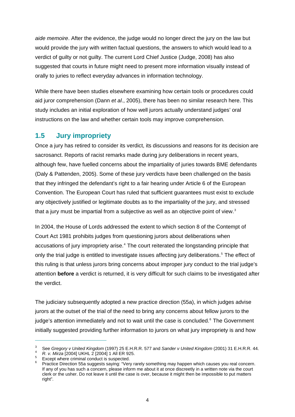*aide memoire*. After the evidence, the judge would no longer direct the jury on the law but would provide the jury with written factual questions, the answers to which would lead to a verdict of guilty or not guilty. The current Lord Chief Justice (Judge, 2008) has also suggested that courts in future might need to present more information visually instead of orally to juries to reflect everyday advances in information technology.

While there have been studies elsewhere examining how certain tools or procedures could aid juror comprehension (Dann *et al*., 2005), there has been no similar research here. This study includes an initial exploration of how well jurors actually understand judges' oral instructions on the law and whether certain tools may improve comprehension.

#### <span id="page-22-0"></span>**1.5 Jury impropriety**

Once a jury has retired to consider its verdict, its discussions and reasons for its decision are sacrosanct. Reports of racist remarks made during jury deliberations in recent years, although few, have fuelled concerns about the impartiality of juries towards BME defendants (Daly & Pattenden, 2005). Some of these jury verdicts have been challenged on the basis that they infringed the defendant's right to a fair hearing under Article 6 of the European Convention. The European Court has ruled that sufficient guarantees must exist to exclude any objectively justified or legitimate doubts as to the impartiality of the jury, and stressed that a jury must be impartial from a subjective as well as an objective point of view.<sup>[3](#page-22-1)</sup>

In 2004, the House of Lords addressed the extent to which section 8 of the Contempt of Court Act 1981 prohibits judges from questioning jurors about deliberations when accusations of jury impropriety arise.<sup>[4](#page-22-2)</sup> The court reiterated the longstanding principle that only the trial judge is entitled to investigate issues affecting jury deliberations.<sup>[5](#page-22-3)</sup> The effect of this ruling is that unless jurors bring concerns about improper jury conduct to the trial judg e's attention **before** a verdict is returned, it is very difficult for such claims to be investigated after the verdict.

The judiciary subsequently adopted a new practice direction (55a), in which judges advise jurors at the outset of the trial of the need to bring any concerns about fellow jurors to the judge's attention immediately and not to wait until the case is concluded.<sup>[6](#page-22-4)</sup> The Government initially suggested providing further information to jurors on what jury impropriety is and how

<span id="page-22-1"></span><sup>3</sup> See *Gregory v United Kingdom* (1997) 25 E.H.R.R. 577 and *Sander v United Kingdom* (2001) 31 E.H.R.R. 44. *R. v. Mirza* [2004] UKHL 2 [2004] 1 All ER 925.

<span id="page-22-2"></span>

<span id="page-22-3"></span>Except where criminal conduct is suspected.

<span id="page-22-4"></span><sup>6</sup> Practice Direction 55a suggests saying: "Very rarely something may happen which causes you real concern. If any of you has such a concern, please inform me about it at once discreetly in a written note via the court clerk or the usher. Do not leave it until the case is over, because it might then be impossible to put matters right".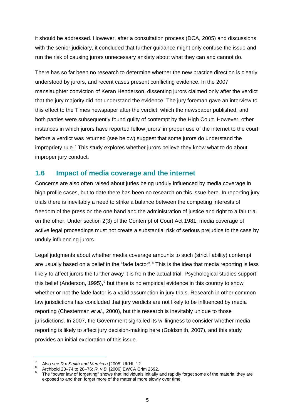it should be addressed. However, after a consultation process (DCA, 2005) and discussions with the senior judiciary, it concluded that further guidance might only confuse the issue and run the risk of causing jurors unnecessary anxiety about what they can and cannot do.

There has so far been no research to determine whether the new practice direction is clearly understood by jurors, and recent cases present conflicting evidence. In the 2007 manslaughter conviction of Keran Henderson, dissenting jurors claimed only after the verdict that the jury majority did not understand the evidence. The jury foreman gave an interview to this effect to the Times newspaper after the verdict, which the newspaper published, and both parties were subsequently found guilty of contempt by the High Court. However, other instances in which jurors have reported fellow jurors' improper use of the internet to the court before a verdict was returned (see below) suggest that some jurors do understand the impropriety rule.<sup>[7](#page-23-1)</sup> This study explores whether jurors believe they know what to do about improper jury conduct.

#### <span id="page-23-0"></span>**1.6 Impact of media coverage and the internet**

Concerns are also often raised about juries being unduly influenced by media coverage in high profile cases, but to date there has been no research on this issue here. In reporting jury trials there is inevitably a need to strike a balance between the competing interests of freedom of the press on the one hand and the administration of justice and right to a fair trial on the other. Under section 2(3) of the Contempt of Court Act 1981, media coverage of active legal proceedings must not create a substantial risk of serious prejudice to the case by unduly influencing jurors.

Legal judgments about whether media coverage amounts to such (strict liability) contempt are usually based on a belief in the "fade factor".<sup>[8](#page-23-2)</sup> This is the idea that media reporting is less likely to affect jurors the further away it is from the actual trial. Psychological studies support this belief (Anderson, 1[9](#page-23-3)95), $9$  but there is no empirical evidence in this country to show whether or not the fade factor is a valid assumption in jury trials. Research in other common law jurisdictions has concluded that jury verdicts are not likely to be influenced by media reporting (Chesterman *et al*., 2000), but this research is inevitably unique to those jurisdictions. In 2007, the Government signalled its willingness to consider whether media reporting is likely to affect jury decision-making here (Goldsmith, 2007), and this study provides an initial exploration of this issue.

<sup>7</sup> Also see *R v Smith and Mercieca* [2005] UKHL 12. 8

<span id="page-23-3"></span><span id="page-23-2"></span><span id="page-23-1"></span>Archbold 28–74 to 28–76; *R. v B.* [2006] EWCA Crim 2692. 9

The "power law of forgetting" shows that individuals initially and rapidly forget some of the material they are exposed to and then forget more of the material more slowly over time.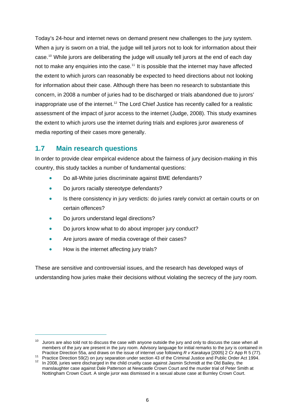Today's 24-hour and internet news on demand present new challenges to the jury system. When a jury is sworn on a trial, the judge will tell jurors not to look for information about their case.<sup>[10](#page-24-1)</sup> While jurors are deliberating the judge will usually tell jurors at the end of each day not to make any enquiries into the case.<sup>[11](#page-24-2)</sup> It is possible that the internet may have affected the extent to which jurors can reasonably be expected to heed directions about not looking for information about their case. Although there has been no research to substantiate this concern, in 2008 a number of juries had to be discharged or trials abandoned due to jurors' inappropriate use of the internet.<sup>[12](#page-24-3)</sup> The Lord Chief Justice has recently called for a realistic assessment of the impact of juror access to the internet (Judge, 2008). This study examines the extent to which jurors use the internet during trials and explores juror awareness of media reporting of their cases more generally.

#### <span id="page-24-0"></span>**1.7 Main research questions**

In order to provide clear empirical evidence about the fairness of jury decision-making in this country, this study tackles a number of fundamental questions:

- Do all-White juries discriminate against BME defendants?
- Do jurors racially stereotype defendants?
- Is there consistency in jury verdicts: do juries rarely convict at certain courts or on certain offences?
- Do jurors understand legal directions?
- Do jurors know what to do about improper jury conduct?
- Are jurors aware of media coverage of their cases?
- How is the internet affecting jury trials?

 $\overline{a}$ 

These are sensitive and controversial issues, and the research has developed ways of understanding how juries make their decisions without violating the secrecy of the jury room.

<span id="page-24-1"></span> $10$  Jurors are also told not to discuss the case with anyone outside the jury and only to discuss the case when all members of the jury are present in the jury room. Advisory language for initial remarks to the jury is contained in

<span id="page-24-3"></span><span id="page-24-2"></span>Practice Direction 55a, and draws on the issue of internet use following  $R$  v Karakaya [2005] 2 Cr App R 5 (77).<br><sup>11</sup> Practice Direction 59(2) on jury separation under section 43 of the Criminal Justice and Public Order manslaughter case against Dale Patterson at Newcastle Crown Court and the murder trial of Peter Smith at Nottingham Crown Court. A single juror was dismissed in a sexual abuse case at Burnley Crown Court.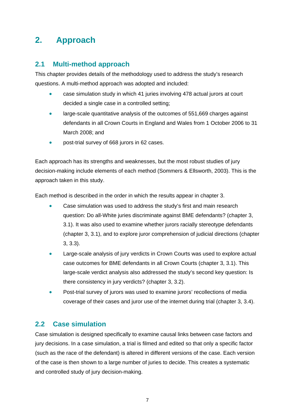# <span id="page-25-0"></span>**2. Approach**

#### <span id="page-25-1"></span>**2.1 Multi-method approach**

This chapter provides details of the methodology used to address the study's research questions. A multi-method approach was adopted and included:

- case simulation study in which 41 juries involving 478 actual jurors at court decided a single case in a controlled setting;
- large-scale quantitative analysis of the outcomes of 551,669 charges against defendants in all Crown Courts in England and Wales from 1 October 2006 to 31 March 2008; and
- post-trial survey of 668 jurors in 62 cases.

Each approach has its strengths and weaknesses, but the most robust studies of jury decision-making include elements of each method (Sommers & Ellsworth, 2003). This is the approach taken in this study.

Each method is described in the order in which the results appear in chapter 3.

- Case simulation was used to address the study's first and main research question: Do all-White juries discriminate against BME defendants? (chapter 3, 3.1). It was also used to examine whether jurors racially stereotype defendants (chapter 3, 3.1), and to explore juror comprehension of judicial directions (chapter 3, 3.3).
- Large-scale analysis of jury verdicts in Crown Courts was used to explore actual case outcomes for BME defendants in all Crown Courts (chapter 3, 3.1). This large-scale verdict analysis also addressed the study's second key question: Is there consistency in jury verdicts? (chapter 3, 3.2).
- Post-trial survey of jurors was used to examine jurors' recollections of media coverage of their cases and juror use of the internet during trial (chapter 3, 3.4).

#### <span id="page-25-2"></span>**2.2 Case simulation**

Case simulation is designed specifically to examine causal links between case factors and jury decisions. In a case simulation, a trial is filmed and edited so that only a specific factor (such as the race of the defendant) is altered in different versions of the case. Each version of the case is then shown to a large number of juries to decide. This creates a systematic and controlled study of jury decision-making.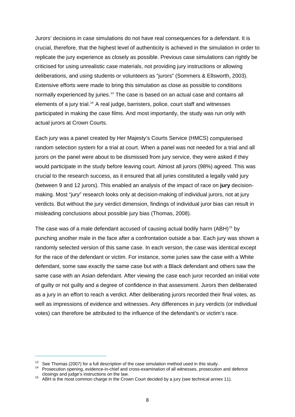Jurors' decisions in case simulations do not have real consequences for a defendant. It is crucial, therefore, that the highest level of authenticity is achieved in the simulation in order to replicate the jury experience as closely as possible. Previous case simulations can rightly be criticised for using unrealistic case materials, not providing jury instructions or allowing deliberations, and using students or volunteers as "jurors" (Sommers & Ellsworth, 2003). Extensive efforts were made to bring this simulation as close as possible to conditions normally experienced by juries.<sup>[13](#page-26-0)</sup> The case is based on an actual case and contains all elements of a jury trial.<sup>[14](#page-26-1)</sup> A real judge, barristers, police, court staff and witnesses participated in making the case films. And most importantly, the study was run only with actual jurors at Crown Courts.

Each jury was a panel created by Her Majesty's Courts Service (HMCS) computerised random selection system for a trial at court. When a panel was not needed for a trial and all jurors on the panel were about to be dismissed from jury service, they were asked if they would participate in the study before leaving court. Almost all jurors (98%) agreed. This was crucial to the research success, as it ensured that all juries constituted a legally valid jury (between 9 and 12 jurors). This enabled an analysis of the impact of race on **jury** decisionmaking. Most "jury" research looks only at decision-making of individual jurors, not at jury verdicts. But without the jury verdict dimension, findings of individual juror bias can result in misleading conclusions about possible jury bias (Thomas, 2008).

The case was of a male defendant accused of causing actual bodily harm (ABH)<sup>[15](#page-26-2)</sup> by punching another male in the face after a confrontation outside a bar. Each jury was shown a randomly selected version of this same case. In each version, the case was identical except for the race of the defendant or victim. For instance, some juries saw the case with a White defendant, some saw exactly the same case but with a Black defendant and others saw the same case with an Asian defendant. After viewing the case each juror recorded an initial vote of guilty or not guilty and a degree of confidence in that assessment. Jurors then deliberated as a jury in an effort to reach a verdict. After deliberating jurors recorded their final votes, as well as impressions of evidence and witnesses. Any differences in jury verdicts (or individual votes) can therefore be attributed to the influence of the defendant's or victim's race.

<span id="page-26-1"></span><span id="page-26-0"></span><sup>&</sup>lt;sup>13</sup> See Thomas (2007) for a full description of the case simulation method used in this study.<br><sup>14</sup> Prosecution opening, evidence-in-chief and cross-examination of all witnesses, prosecution and defence<br>closings and judg

<span id="page-26-2"></span><sup>&</sup>lt;sup>15</sup> ABH is the most common charge in the Crown Court decided by a jury (see technical annex 11).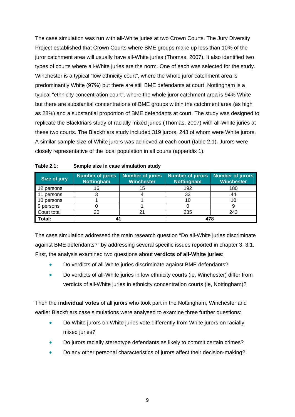The case simulation was run with all-White juries at two Crown Courts. The Jury Diversity Project established that Crown Courts where BME groups make up less than 10% of the juror catchment area will usually have all-White juries (Thomas, 2007). It also identified two types of courts where all-White juries are the norm. One of each was selected for the study. Winchester is a typical "low ethnicity court", where the whole juror catchment area is predominantly White (97%) but there are still BME defendants at court. Nottingham is a typical "ethnicity concentration court", where the whole juror catchment area is 94% White but there are substantial concentrations of BME groups within the catchment area (as high as 28%) and a substantial proportion of BME defendants at court. The study was designed to replicate the Blackfriars study of racially mixed juries (Thomas, 2007) with all-White juries at these two courts. The Blackfriars study included 319 jurors, 243 of whom were White jurors. A similar sample size of White jurors was achieved at each court (table 2.1). Jurors were closely representative of the local population in all courts (appendix 1).

| Size of jury | Number of juries<br><b>Nottingham</b> | <b>Number of juries</b><br><b>Winchester</b> | <b>Number of jurors</b><br><b>Nottingham</b> | Number of jurors<br><b>Winchester</b> |
|--------------|---------------------------------------|----------------------------------------------|----------------------------------------------|---------------------------------------|
| 12 persons   | 16                                    | 15                                           | 192                                          | 180                                   |
| persons      |                                       |                                              | 33                                           | 44                                    |
| 10 persons   |                                       |                                              |                                              |                                       |
| 9 persons    |                                       |                                              |                                              |                                       |
| Court total  |                                       |                                              | 235                                          | 243                                   |
| Total:       |                                       |                                              | 478                                          |                                       |

The case simulation addressed the main research question "Do all-White juries discriminate against BME defendants?" by addressing several specific issues reported in chapter 3, 3.1. First, the analysis examined two questions about **verdicts of all-White juries**:

- Do verdicts of all-White juries discriminate against BME defendants?
- Do verdicts of all-White juries in low ethnicity courts (ie, Winchester) differ from verdicts of all-White juries in ethnicity concentration courts (ie, Nottingham)?

Then the **individual votes** of all jurors who took part in the Nottingham, Winchester and earlier Blackfriars case simulations were analysed to examine three further questions:

- Do White jurors on White juries vote differently from White jurors on racially mixed juries?
- Do jurors racially stereotype defendants as likely to commit certain crimes?
- Do any other personal characteristics of jurors affect their decision-making?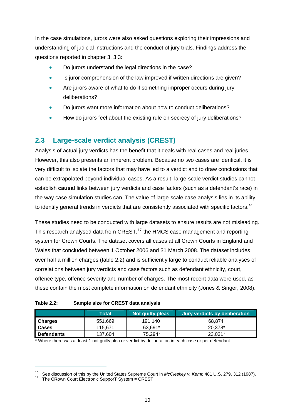In the case simulations, jurors were also asked questions exploring their impressions and understanding of judicial instructions and the conduct of jury trials. Findings address the questions reported in chapter 3, 3.3:

- Do jurors understand the legal directions in the case?
- Is juror comprehension of the law improved if written directions are given?
- Are jurors aware of what to do if something improper occurs during jury deliberations?
- Do jurors want more information about how to conduct deliberations?
- How do jurors feel about the existing rule on secrecy of jury deliberations?

## <span id="page-28-0"></span>**2.3 Large-scale verdict analysis (CREST)**

Analysis of actual jury verdicts has the benefit that it deals with real cases and real juries. However, this also presents an inherent problem. Because no two cases are identical, it is very difficult to isolate the factors that may have led to a verdict and to draw conclusions that can be extrapolated beyond individual cases. As a result, large-scale verdict studies cannot establish **causal** links between jury verdicts and case factors (such as a defendant's race) in the way case simulation studies can. The value of large-scale case analysis lies in its ability to identify general trends in verdicts that are consistently associated with specific factors.<sup>[16](#page-28-2)</sup>

These studies need to be conducted with large datasets to ensure results are not misleading. This research analysed data from CREST,<sup>[17](#page-28-3)</sup> the HMCS case management and reporting system for Crown Courts. The dataset covers all cases at all Crown Courts in England and Wales that concluded between 1 October 2006 and 31 March 2008. The dataset includes over half a million charges (table 2.2) and is sufficiently large to conduct reliable analyses of correlations between jury verdicts and case factors such as defendant ethnicity, court, offence type, offence severity and number of charges. The most recent data were used, as these contain the most complete information on defendant ethnicity (Jones & Singer, 2008).

| Table 2.2: | Sample size for CREST data analysis |
|------------|-------------------------------------|
|------------|-------------------------------------|

<span id="page-28-1"></span>

| I              | Total   | <b>Not guilty pleas</b> | Jury verdicts by deliberation |
|----------------|---------|-------------------------|-------------------------------|
| <b>Charges</b> | 551.669 | 191.140                 | 68.874                        |
| <b>Cases</b>   | 115.671 | 63.691*                 | 20.378*                       |
| Defendants     | 137,604 | 75.294*                 | 23.031*                       |

\* Where there was at least 1 not guilty plea or verdict by deliberation in each case or per defendant

<span id="page-28-2"></span><sup>16</sup> See discussion of this by the United States Supreme Court in *McCleskey v. Kemp* 481 U.S. 279, 312 (1987). 17 The **CR**own Court **E**lectronic **S**uppor**T** System = CREST

<span id="page-28-3"></span>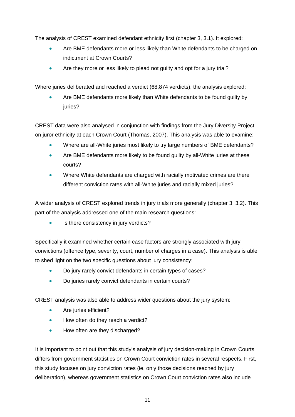The analysis of CREST examined defendant ethnicity first (chapter 3, 3.1). It explored:

- Are BME defendants more or less likely than White defendants to be charged on indictment at Crown Courts?
- Are they more or less likely to plead not guilty and opt for a jury trial?

Where juries deliberated and reached a verdict (68,874 verdicts), the analysis explored:

 Are BME defendants more likely than White defendants to be found guilty by juries?

CREST data were also analysed in conjunction with findings from the Jury Diversity Project on juror ethnicity at each Crown Court (Thomas, 2007). This analysis was able to examine:

- Where are all-White juries most likely to try large numbers of BME defendants?
- Are BME defendants more likely to be found guilty by all-White juries at these courts?
- Where White defendants are charged with racially motivated crimes are there different conviction rates with all-White juries and racially mixed juries?

A wider analysis of CREST explored trends in jury trials more generally (chapter 3, 3.2). This part of the analysis addressed one of the main research questions:

• Is there consistency in jury verdicts?

Specifically it examined whether certain case factors are strongly associated with jury convictions (offence type, severity, court, number of charges in a case). This analysis is able to shed light on the two specific questions about jury consistency:

- Do jury rarely convict defendants in certain types of cases?
- Do juries rarely convict defendants in certain courts?

CREST analysis was also able to address wider questions about the jury system:

- Are juries efficient?
- How often do they reach a verdict?
- How often are they discharged?

It is important to point out that this study's analysis of jury decision-making in Crown Courts differs from government statistics on Crown Court conviction rates in several respects. First, this study focuses on jury conviction rates (ie, only those decisions reached by jury deliberation), whereas government statistics on Crown Court conviction rates also include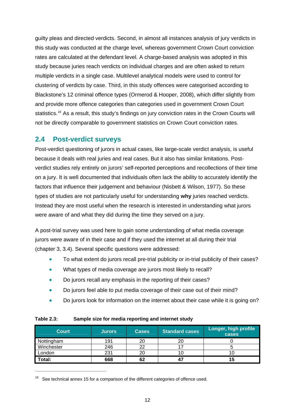guilty pleas and directed verdicts. Second, in almost all instances analysis of jury verdicts in this study was conducted at the charge level, whereas government Crown Court conviction rates are calculated at the defendant level. A charge-based analysis was adopted in this study because juries reach verdicts on individual charges and are often asked to return multiple verdicts in a single case. Multilevel analytical models were used to control for clustering of verdicts by case. Third, in this study offences were categorised according to Blackstone's 12 criminal offence types (Ormerod & Hooper, 2008), which differ slightly from and provide more offence categories than categories used in government Crown Court statistics.<sup>[18](#page-30-2)</sup> As a result, this study's findings on jury conviction rates in the Crown Courts will not be directly comparable to government statistics on Crown Court conviction rates.

#### <span id="page-30-0"></span>**2.4 Post-verdict surveys**

Post-verdict questioning of jurors in actual cases, like large-scale verdict analysis, is useful because it deals with real juries and real cases. But it also has similar limitations. Postverdict studies rely entirely on jurors' self-reported perceptions and recollections of their time on a jury. It is well documented that individuals often lack the ability to accurately identify the factors that influence their judgement and behaviour (Nisbett & Wilson, 1977). So these types of studies are not particularly useful for understanding **why** juries reached verdicts. Instead they are most useful when the research is interested in understanding what jurors were aware of and what they did during the time they served on a jury.

A post-trial survey was used here to gain some understanding of what media coverage jurors were aware of in their case and if they used the internet at all during their trial (chapter 3, 3.4). Several specific questions were addressed:

- To what extent do jurors recall pre-trial publicity or in-trial publicity of their cases?
- What types of media coverage are jurors most likely to recall?
- Do jurors recall any emphasis in the reporting of their cases?
- Do jurors feel able to put media coverage of their case out of their mind?
- Do jurors look for information on the internet about their case while it is going on?

<span id="page-30-1"></span>

| <b>Table 2.3:</b> | Sample size for media reporting and internet study |
|-------------------|----------------------------------------------------|
|-------------------|----------------------------------------------------|

| Court      | <b>Jurors</b> | <b>Cases</b> | <b>Standard cases</b> | Longer, high profile<br>cases |
|------------|---------------|--------------|-----------------------|-------------------------------|
| Nottingham | 191           | 20           | 20                    |                               |
| Winchester | 246           | 22           |                       |                               |
| London     | 231           | 20           |                       |                               |
| Total:     | 668           | 62           | 47                    | 15                            |

<span id="page-30-2"></span> $18$  See technical annex 15 for a comparison of the different categories of offence used.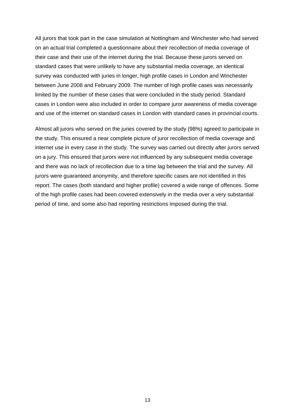All jurors that took part in the case simulation at Nottingham and Winchester who had served on an actual trial completed a questionnaire about their recollection of media coverage of their case and their use of the internet during the trial. Because these jurors served on standard cases that were unlikely to have any substantial media coverage, an identical survey was conducted with juries in longer, high profile cases in London and Winchester between June 2008 and February 2009. The number of high profile cases was necessarily limited by the number of these cases that were concluded in the study period. Standard cases in London were also included in order to compare juror awareness of media coverage and use of the internet on standard cases in London with standard cases in provincial courts.

Almost all jurors who served on the juries covered by the study (98%) agreed to participate in the study. This ensured a near complete picture of juror recollection of media coverage and internet use in every case in the study. The survey was carried out directly after jurors served on a jury. This ensured that jurors were not influenced by any subsequent media coverage and there was no lack of recollection due to a time lag between the trial and the survey. All jurors were guaranteed anonymity, and therefore specific cases are not identified in this report. The cases (both standard and higher profile) covered a wide range of offences. Some of the high profile cases had been covered extensively in the media over a very substantial period of time, and some also had reporting restrictions imposed during the trial.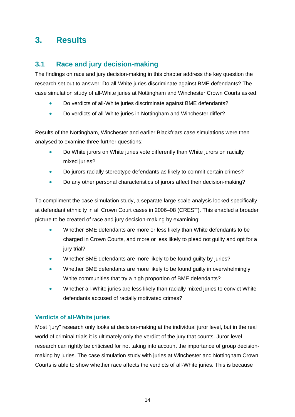# <span id="page-32-0"></span>**3. Results**

#### <span id="page-32-1"></span>**3.1 Race and jury decision-making**

The findings on race and jury decision-making in this chapter address the key question the research set out to answer: Do all-White juries discriminate against BME defendants? The case simulation study of all-White juries at Nottingham and Winchester Crown Courts asked:

- Do verdicts of all-White juries discriminate against BME defendants?
- Do verdicts of all-White juries in Nottingham and Winchester differ?

Results of the Nottingham, Winchester and earlier Blackfriars case simulations were then analysed to examine three further questions:

- Do White jurors on White juries vote differently than White jurors on racially mixed juries?
- Do jurors racially stereotype defendants as likely to commit certain crimes?
- Do any other personal characteristics of jurors affect their decision-making?

To compliment the case simulation study, a separate large-scale analysis looked specifically at defendant ethnicity in all Crown Court cases in 2006–08 (CREST). This enabled a broader picture to be created of race and jury decision-making by examining:

- Whether BME defendants are more or less likely than White defendants to be charged in Crown Courts, and more or less likely to plead not guilty and opt for a jury trial?
- Whether BME defendants are more likely to be found guilty by juries?
- Whether BME defendants are more likely to be found guilty in overwhelmingly White communities that try a high proportion of BME defendants?
- Whether all-White juries are less likely than racially mixed juries to convict White defendants accused of racially motivated crimes?

#### **Verdicts of all-White juries**

Most "jury" research only looks at decision-making at the individual juror level, but in the real world of criminal trials it is ultimately only the verdict of the jury that counts. Juror-level research can rightly be criticised for not taking into account the importance of group decisionmaking by juries. The case simulation study with juries at Winchester and Nottingham Crown Courts is able to show whether race affects the verdicts of all-White juries. This is because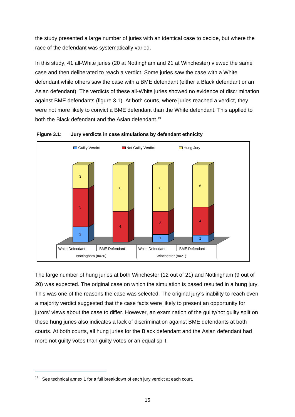the study presented a large number of juries with an identical case to decide, but where the race of the defendant was systematically varied.

In this study, 41 all-White juries (20 at Nottingham and 21 at Winchester) viewed the same case and then deliberated to reach a verdict. Some juries saw the case with a White defendant while others saw the case with a BME defendant (either a Black defendant or an Asian defendant). The verdicts of these all-White juries showed no evidence of discrimination against BME defendants (figure 3.1). At both courts, where juries reached a verdict, they were not more likely to convict a BME defendant than the White defendant. This applied to both the Black defendant and the Asian defendant.<sup>[19](#page-33-1)</sup>

<span id="page-33-0"></span>



The large number of hung juries at both Winchester (12 out of 21) and Nottingham (9 out of 20) was expected. The original case on which the simulation is based resulted in a hung jury. This was one of the reasons the case was selected. The original jury's inability to reach even a majority verdict suggested that the case facts were likely to present an opportunity for jurors' views about the case to differ. However, an examination of the guilty/not guilty split on these hung juries also indicates a lack of discrimination against BME defendants at both courts. At both courts, all hung juries for the Black defendant and the Asian defendant had more not guilty votes than guilty votes or an equal split.

<span id="page-33-1"></span> $19$  See technical annex 1 for a full breakdown of each jury verdict at each court.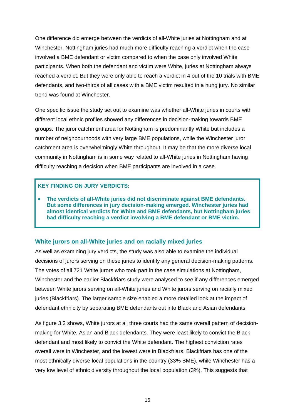One difference did emerge between the verdicts of all-White juries at Nottingham and at Winchester. Nottingham juries had much more difficulty reaching a verdict when the case involved a BME defendant or victim compared to when the case only involved White participants. When both the defendant and victim were White, juries at Nottingham always reached a verdict. But they were only able to reach a verdict in 4 out of the 10 trials with BME defendants, and two-thirds of all cases with a BME victim resulted in a hung jury. No similar trend was found at Winchester.

One specific issue the study set out to examine was whether all-White juries in courts with different local ethnic profiles showed any differences in decision-making towards BME groups. The juror catchment area for Nottingham is predominantly White but includes a number of neighbourhoods with very large BME populations, while the Winchester juror catchment area is overwhelmingly White throughout. It may be that the more diverse local community in Nottingham is in some way related to all-White juries in Nottingham having difficulty reaching a decision when BME participants are involved in a case.

#### **KEY FINDING ON JURY VERDICTS:**

 **The verdicts of all-White juries did not discriminate against BME defendants. But some differences in jury decision-making emerged. Winchester juries had almost identical verdicts for White and BME defendants, but Nottingham juries had difficulty reaching a verdict involving a BME defendant or BME victim.** 

#### **White jurors on all-White juries and on racially mixed juries**

As well as examining jury verdicts, the study was also able to examine the individual decisions of jurors serving on these juries to identify any general decision-making patterns. The votes of all 721 White jurors who took part in the case simulations at Nottingham, Winchester and the earlier Blackfriars study were analysed to see if any differences emerged between White jurors serving on all-White juries and White jurors serving on racially mixed juries (Blackfriars). The larger sample size enabled a more detailed look at the impact of defendant ethnicity by separating BME defendants out into Black and Asian defendants.

As figure 3.2 shows, White jurors at all three courts had the same overall pattern of decisionmaking for White, Asian and Black defendants. They were least likely to convict the Black defendant and most likely to convict the White defendant. The highest conviction rates overall were in Winchester, and the lowest were in Blackfriars. Blackfriars has one of the most ethnically diverse local populations in the country (33% BME), while Winchester has a very low level of ethnic diversity throughout the local population (3%). This suggests that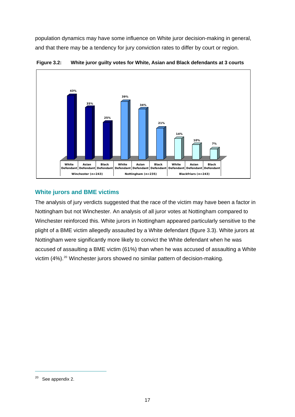population dynamics may have some influence on White juror decision-making in general, and that there may be a tendency for jury conviction rates to differ by court or region.

<span id="page-35-0"></span>

**Figure 3.2: White juror guilty votes for White, Asian and Black defendants at 3 courts** 

#### **White jurors and BME victims**

The analysis of jury verdicts suggested that the race of the victim may have been a factor in Nottingham but not Winchester. An analysis of all juror votes at Nottingham compared to Winchester reinforced this. White jurors in Nottingham appeared particularly sensitive to the plight of a BME victim allegedly assaulted by a White defendant (figure 3.3). White jurors at Nottingham were significantly more likely to convict the White defendant when he was accused of assaulting a BME victim (61%) than when he was accused of assaulting a White victim (4%).<sup>[20](#page-35-1)</sup> Winchester jurors showed no similar pattern of decision-making.

<span id="page-35-1"></span><sup>20</sup> See appendix 2.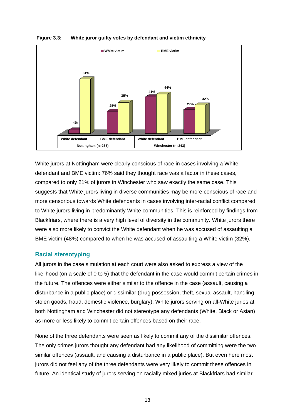



White jurors at Nottingham were clearly conscious of race in cases involving a White defendant and BME victim: 76% said they thought race was a factor in these cases, compared to only 21% of jurors in Winchester who saw exactly the same case. This suggests that White jurors living in diverse communities may be more conscious of race and more censorious towards White defendants in cases involving inter-racial conflict compared to White jurors living in predominantly White communities. This is reinforced by findings from Blackfriars, where there is a very high level of diversity in the community. White jurors there were also more likely to convict the White defendant when he was accused of assaulting a BME victim (48%) compared to when he was accused of assaulting a White victim (32%).

#### **Racial stereotyping**

All jurors in the case simulation at each court were also asked to express a view of the likelihood (on a scale of 0 to 5) that the defendant in the case would commit certain crimes in the future. The offences were either similar to the offence in the case (assault, causing a disturbance in a public place) or dissimilar (drug possession, theft, sexual assault, handling stolen goods, fraud, domestic violence, burglary). White jurors serving on all-White juries at both Nottingham and Winchester did not stereotype any defendants (White, Black or Asian) as more or less likely to commit certain offences based on their race.

None of the three defendants were seen as likely to commit any of the dissimilar offences. The only crimes jurors thought any defendant had any likelihood of committing were the two similar offences (assault, and causing a disturbance in a public place). But even here most jurors did not feel any of the three defendants were very likely to commit these offences in future. An identical study of jurors serving on racially mixed juries at Blackfriars had similar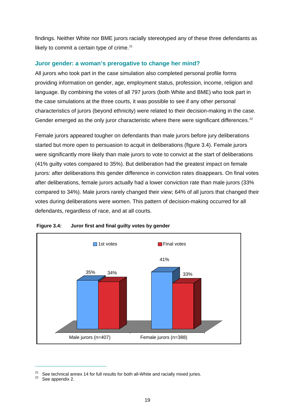findings. Neither White nor BME jurors racially stereotyped any of these three defendants as likely to commit a certain type of crime. $21$ 

#### **Juror gender: a woman's prerogative to change her mind?**

All jurors who took part in the case simulation also completed personal profile forms providing information on gender, age, employment status, profession, income, religion and language. By combining the votes of all 797 jurors (both White and BME) who took part in the case simulations at the three courts, it was possible to see if any other personal characteristics of jurors (beyond ethnicity) were related to their decision-making in the case. Gender emerged as the only juror characteristic where there were significant differences.<sup>[22](#page-37-1)</sup>

Female jurors appeared tougher on defendants than male jurors before jury deliberations started but more open to persuasion to acquit in deliberations (figure 3.4). Female jurors were significantly more likely than male jurors to vote to convict at the start of deliberations (41% guilty votes compared to 35%). But deliberation had the greatest impact on female jurors: after deliberations this gender difference in conviction rates disappears. On final votes after deliberations, female jurors actually had a lower conviction rate than male jurors (33% compared to 34%). Male jurors rarely changed their view; 64% of all jurors that changed their votes during deliberations were women. This pattern of decision-making occurred for all defendants, regardless of race, and at all courts.



#### **Figure 3.4: Juror first and final guilty votes by gender**

<span id="page-37-0"></span><sup>&</sup>lt;sup>21</sup> See technical annex 14 for full results for both all-White and racially mixed juries.<br><sup>22</sup> See appendix 2.

<span id="page-37-1"></span>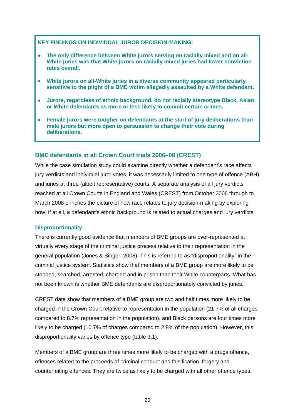#### **KEY FINDINGS ON INDIVIDUAL JUROR DECISION-MAKING:**

- **The only difference between White jurors serving on racially mixed and on all-White juries was that White jurors on racially mixed juries had lower conviction rates overall.**
- **White jurors on all-White juries in a diverse community appeared particularly sensitive to the plight of a BME victim allegedly assaulted by a White defendant.**
- **Jurors, regardless of ethnic background, do not racially stereotype Black, Asian or White defendants as more or less likely to commit certain crimes.**
- **Female jurors were tougher on defendants at the start of jury deliberations than male jurors but more open to persuasion to change their vote during deliberations.**

## **BME defendants in all Crown Court trials 2006–08 (CREST)**

While the case simulation study could examine directly whether a defendant's race affects jury verdicts and individual juror votes, it was necessarily limited to one type of offence (ABH) and juries at three (albeit representative) courts. A separate analysis of all jury verdicts reached at all Crown Courts in England and Wales (CREST) from October 2006 through to March 2008 enriches the picture of how race relates to jury decision-making by exploring how, if at all, a defendant's ethnic background is related to actual charges and jury verdicts.

## **Disproportionality**

There is currently good evidence that members of BME groups are over-represented at virtually every stage of the criminal justice process relative to their representation in the general population (Jones & Singer, 2008). This is referred to as "disproportionality" in the criminal justice system. Statistics show that members of a BME group are more likely to be stopped, searched, arrested, charged and in prison than their White counterparts. What has not been known is whether BME defendants are disproportionately convicted by juries.

CREST data show that members of a BME group are two and half times more likely to be charged in the Crown Court relative to representation in the population (21.7% of all charges compared to 8.7% representation in the population), and Black persons are four times more likely to be charged (10.7% of charges compared to 2.8% of the population). However, this disproportionality varies by offence type (table 3.1).

Members of a BME group are three times more likely to be charged with a drugs offence, offences related to the proceeds of criminal conduct and falsification, forgery and counterfeiting offences. They are twice as likely to be charged with all other offence types,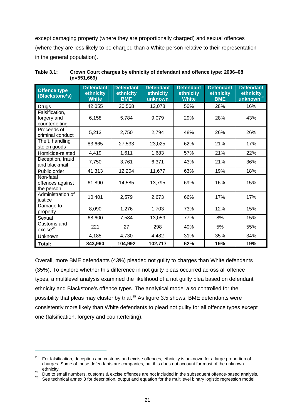except damaging property (where they are proportionally charged) and sexual offences (where they are less likely to be charged than a White person relative to their representation in the general population).

| <b>Offence type</b><br>(Blackstone's)           | <b>Defendant</b><br>ethnicity<br><b>White</b> | <b>Defendant</b><br>ethnicity<br><b>BME</b> | <b>Defendant</b><br>ethnicity<br>unknown | <b>Defendant</b><br>ethnicity<br><b>White</b> | <b>Defendant</b><br>ethnicity<br><b>BME</b> | <b>Defendant</b><br>ethnicity<br>unknown <sup>23</sup> |  |
|-------------------------------------------------|-----------------------------------------------|---------------------------------------------|------------------------------------------|-----------------------------------------------|---------------------------------------------|--------------------------------------------------------|--|
| <b>Drugs</b>                                    | 42,055                                        | 20,568                                      | 12,078                                   | 56%                                           | 28%                                         | 16%                                                    |  |
| Falsification,<br>forgery and<br>counterfeiting | 6,158                                         | 5,784                                       | 9,079                                    | 29%                                           | 28%                                         | 43%                                                    |  |
| Proceeds of<br>criminal conduct                 | 5,213                                         | 2,750                                       | 2,794                                    | 48%                                           | 26%                                         | 26%                                                    |  |
| Theft, handling<br>stolen goods                 | 83,665                                        | 27,533                                      | 23,025                                   | 62%                                           | 21%                                         | 17%                                                    |  |
| Homicide-related                                | 4,419                                         | 1,611                                       | 1,683                                    | 57%                                           | 21%                                         | 22%                                                    |  |
| Deception, fraud<br>and blackmail               | 7,750                                         | 3,761                                       | 6,371                                    | 43%                                           | 21%                                         | 36%                                                    |  |
| Public order                                    | 41,313                                        | 12,204                                      | 11,677                                   | 63%                                           | 19%                                         | 18%                                                    |  |
| Non-fatal<br>offences against<br>the person     | 61,890                                        | 14,585                                      | 13,795                                   | 69%                                           | 16%                                         | 15%                                                    |  |
| Administration of<br>justice                    | 10,401                                        | 2,579                                       | 2,673                                    | 66%                                           | 17%                                         | 17%                                                    |  |
| Damage to<br>property                           | 8,090                                         | 1,276                                       | 1,703                                    | 73%                                           | 12%                                         | 15%                                                    |  |
| Sexual                                          | 68,600                                        | 7,584                                       | 13,059                                   | 77%                                           | 8%                                          | 15%                                                    |  |
| Customs and<br>excise <sup>24</sup>             | 221                                           | 27                                          | 298                                      | 40%                                           | 5%                                          | 55%                                                    |  |
| Unknown                                         | 4,185                                         | 4,730                                       | 4,482                                    | 31%                                           | 35%                                         | 34%                                                    |  |
| Total:                                          | 343,960                                       | 104,992                                     | 102,717                                  | 62%                                           | 19%                                         | 19%                                                    |  |

**Table 3.1: Crown Court charges by ethnicity of defendant and offence type: 2006–08 (n=551,669)** 

Overall, more BME defendants (43%) pleaded not guilty to charges than White defendants (35%). To explore whether this difference in not guilty pleas occurred across all offence types, a multilevel analysis examined the likelihood of a not guilty plea based on defendant ethnicity and Blackstone's offence types. The analytical model also controlled for the possibility that pleas may cluster by trial.<sup>[25](#page-39-2)</sup> As figure 3.5 shows, BME defendants were consistently more likely than White defendants to plead not guilty for all offence types except one (falsification, forgery and counterfeiting).

<span id="page-39-0"></span><sup>&</sup>lt;sup>23</sup> For falsification, deception and customs and excise offences, ethnicity is unknown for a large proportion of charges. Some of these defendants are companies, but this does not account for most of the unknown

<span id="page-39-1"></span><sup>24</sup> Due to small numbers, customs & excise offences are not included in the subsequent offence-based analysis.<br>25 See technical annex 3 for description, output and equation for the multilevel binary logistic regression mode

<span id="page-39-2"></span>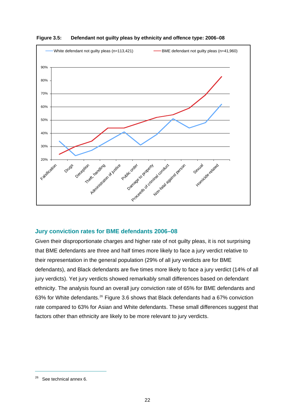

**Figure 3.5: Defendant not guilty pleas by ethnicity and offence type: 2006–08** 

## **Jury conviction rates for BME defendants 2006–08**

Given their disproportionate charges and higher rate of not guilty pleas, it is not surprising that BME defendants are three and half times more likely to face a jury verdict relative to their representation in the general population (29% of all jury verdicts are for BME defendants), and Black defendants are five times more likely to face a jury verdict (14% of all jury verdicts). Yet jury verdicts showed remarkably small differences based on defendant ethnicity. The analysis found an overall jury conviction rate of 65% for BME defendants and 63% for White defendants.[26](#page-40-0) Figure 3.6 shows that Black defendants had a 67% conviction rate compared to 63% for Asian and White defendants. These small differences suggest that factors other than ethnicity are likely to be more relevant to jury verdicts.

<span id="page-40-0"></span><sup>&</sup>lt;sup>26</sup> See technical annex 6.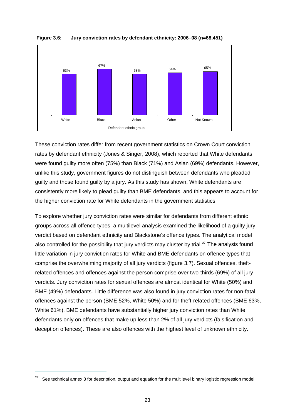

**Figure 3.6: Jury conviction rates by defendant ethnicity: 2006–08 (n=68,451)** 

These conviction rates differ from recent government statistics on Crown Court conviction rates by defendant ethnicity (Jones & Singer, 2008), which reported that White defendants were found guilty more often (75%) than Black (71%) and Asian (69%) defendants. However, unlike this study, government figures do not distinguish between defendants who pleaded guilty and those found guilty by a jury. As this study has shown, White defendants are consistently more likely to plead guilty than BME defendants, and this appears to account for the higher conviction rate for White defendants in the government statistics.

To explore whether jury conviction rates were similar for defendants from different ethnic groups across all offence types, a multilevel analysis examined the likelihood of a guilty jury verdict based on defendant ethnicity and Blackstone's offence types. The analytical model also controlled for the possibility that jury verdicts may cluster by trial.<sup>[27](#page-41-0)</sup> The analysis found little variation in jury conviction rates for White and BME defendants on offence types that comprise the overwhelming majority of all jury verdicts (figure 3.7). Sexual offences, theftrelated offences and offences against the person comprise over two-thirds (69%) of all jury verdicts. Jury conviction rates for sexual offences are almost identical for White (50%) and BME (49%) defendants. Little difference was also found in jury conviction rates for non-fatal offences against the person (BME 52%, White 50%) and for theft-related offences (BME 63%, White 61%). BME defendants have substantially higher jury conviction rates than White defendants only on offences that make up less than 2% of all jury verdicts (falsification and deception offences). These are also offences with the highest level of unknown ethnicity.

<span id="page-41-0"></span> $27$  See technical annex 8 for description, output and equation for the multilevel binary logistic regression model.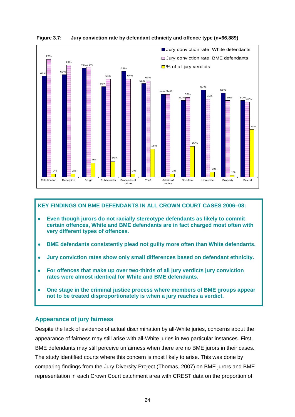

**Figure 3.7: Jury conviction rate by defendant ethnicity and offence type (n=66,889)** 

#### **KEY FINDINGS ON BME DEFENDANTS IN ALL CROWN COURT CASES 2006–08:**

- **Even though jurors do not racially stereotype defendants as likely to commit certain offences, White and BME defendants are in fact charged most often with very different types of offences.**
- **BME defendants consistently plead not guilty more often than White defendants.**
- **Jury conviction rates show only small differences based on defendant ethnicity.**
- **For offences that make up over two-thirds of all jury verdicts jury conviction rates were almost identical for White and BME defendants.**
- **One stage in the criminal justice process where members of BME groups appear not to be treated disproportionately is when a jury reaches a verdict.**

#### **Appearance of jury fairness**

Despite the lack of evidence of actual discrimination by all-White juries, concerns about the appearance of fairness may still arise with all-White juries in two particular instances. First, BME defendants may still perceive unfairness when there are no BME jurors in their cases. The study identified courts where this concern is most likely to arise. This was done by comparing findings from the Jury Diversity Project (Thomas, 2007) on BME jurors and BME representation in each Crown Court catchment area with CREST data on the proportion of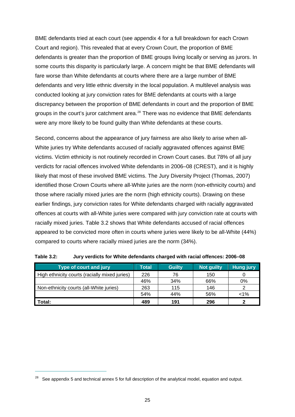BME defendants tried at each court (see appendix 4 for a full breakdown for each Crown Court and region). This revealed that at every Crown Court, the proportion of BME defendants is greater than the proportion of BME groups living locally or serving as jurors. In some courts this disparity is particularly large. A concern might be that BME defendants will fare worse than White defendants at courts where there are a large number of BME defendants and very little ethnic diversity in the local population. A multilevel analysis was conducted looking at jury conviction rates for BME defendants at courts with a large discrepancy between the proportion of BME defendants in court and the proportion of BME groups in the court's juror catchment area.<sup>[28](#page-43-0)</sup> There was no evidence that BME defendants were any more likely to be found guilty than White defendants at these courts.

Second, concerns about the appearance of jury fairness are also likely to arise when all-White juries try White defendants accused of racially aggravated offences against BME victims. Victim ethnicity is not routinely recorded in Crown Court cases. But 78% of all jury verdicts for racial offences involved White defendants in 2006–08 (CREST), and it is highly likely that most of these involved BME victims. The Jury Diversity Project (Thomas, 2007) identified those Crown Courts where all-White juries are the norm (non-ethnicity courts) and those where racially mixed juries are the norm (high ethnicity courts). Drawing on these earlier findings, jury conviction rates for White defendants charged with racially aggravated offences at courts with all-White juries were compared with jury conviction rate at courts with racially mixed juries. Table 3.2 shows that White defendants accused of racial offences appeared to be convicted more often in courts where juries were likely to be all-White (44%) compared to courts where racially mixed juries are the norm (34%).

| Type of court and jury                        | <b>Total</b> | <b>Guilty</b> | Not guilty | <b>Hung jury</b> |
|-----------------------------------------------|--------------|---------------|------------|------------------|
| High ethnicity courts (racially mixed juries) | 226          | 76            | 150        |                  |
|                                               | 46%          | 34%           | 66%        | 0%               |
| Non-ethnicity courts (all-White juries)       | 263          | 115           | 146        |                  |
|                                               | 54%          | 44%           | 56%        | $< 1\%$          |
| Total:                                        | 489          | 191           | 296        |                  |

| <b>Table 3.2:</b> | Jury verdicts for White defendants charged with racial offences: 2006-08 |
|-------------------|--------------------------------------------------------------------------|
|-------------------|--------------------------------------------------------------------------|

<span id="page-43-0"></span> $28$  See appendix 5 and technical annex 5 for full description of the analytical model, equation and output.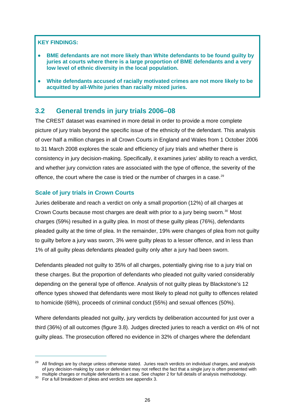#### **KEY FINDINGS:**

- **BME defendants are not more likely than White defendants to be found guilty by juries at courts where there is a large proportion of BME defendants and a very low level of ethnic diversity in the local population.**
- **White defendants accused of racially motivated crimes are not more likely to be acquitted by all-White juries than racially mixed juries.**

# **3.2 General trends in jury trials 2006–08**

The CREST dataset was examined in more detail in order to provide a more complete picture of jury trials beyond the specific issue of the ethnicity of the defendant. This analysis of over half a million charges in all Crown Courts in England and Wales from 1 October 2006 to 31 March 2008 explores the scale and efficiency of jury trials and whether there is consistency in jury decision-making. Specifically, it examines juries' ability to reach a verdict, and whether jury conviction rates are associated with the type of offence, the severity of the offence, the court where the case is tried or the number of charges in a case.<sup>[29](#page-44-0)</sup>

# **Scale of jury trials in Crown Courts**

Juries deliberate and reach a verdict on only a small proportion (12%) of all charges at Crown Courts because most charges are dealt with prior to a jury being sworn.<sup>[30](#page-44-1)</sup> Most charges (59%) resulted in a guilty plea. In most of these guilty pleas (76%), defendants pleaded guilty at the time of plea. In the remainder, 19% were changes of plea from not guilty to guilty before a jury was sworn, 3% were guilty pleas to a lesser offence, and in less than 1% of all guilty pleas defendants pleaded guilty only after a jury had been sworn.

Defendants pleaded not guilty to 35% of all charges, potentially giving rise to a jury trial on these charges. But the proportion of defendants who pleaded not guilty varied considerably depending on the general type of offence. Analysis of not guilty pleas by Blackstone's 12 offence types showed that defendants were most likely to plead not guilty to offences related to homicide (68%), proceeds of criminal conduct (55%) and sexual offences (50%).

Where defendants pleaded not guilty, jury verdicts by deliberation accounted for just over a third (36%) of all outcomes (figure 3.8). Judges directed juries to reach a verdict on 4% of not guilty pleas. The prosecution offered no evidence in 32% of charges where the defendant

<span id="page-44-0"></span><sup>&</sup>lt;sup>29</sup> All findings are by charge unless otherwise stated. Juries reach verdicts on individual charges, and analysis of jury decision-making by case or defendant may not reflect the fact that a single jury is often presented with multiple charges or multiple defendants in a case. See chapter 2 for full details of analysis methodology.<br><sup>30</sup> For a full breakdown of pleas and verdicts see appendix 3.

<span id="page-44-1"></span>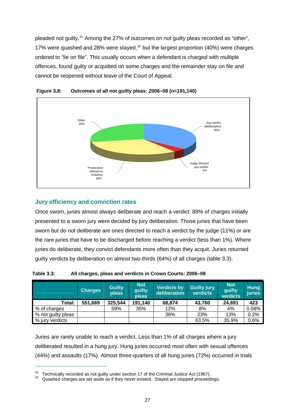pleaded not guilty.<sup>[31](#page-45-0)</sup> Among the 27% of outcomes on not guilty pleas recorded as "other", 17% were quashed and 28% were stayed, $32$  but the largest proportion (40%) were charges ordered to "lie on file". This usually occurs when a defendant is charged with multiple offences, found guilty or acquitted on some charges and the remainder stay on file and cannot be reopened without leave of the Court of Appeal.





## **Jury efficiency and conviction rates**

 $\overline{a}$ 

Once sworn, juries almost always deliberate and reach a verdict: 89% of charges initially presented to a sworn jury were decided by jury deliberation. Those juries that have been sworn but do not deliberate are ones directed to reach a verdict by the judge (11%) or are the rare juries that have to be discharged before reaching a verdict (less than 1%). Where juries do deliberate, they convict defendants more often than they acquit. Juries returned guilty verdicts by deliberation on almost two-thirds (64%) of all charges (table 3.3).

|                    | <b>Charges</b> | <b>Guilty</b><br>pleas | <b>Not</b><br>guilty<br>pleas | <b>Verdicts by</b><br>deliberation | <b>Guilty jury</b><br><b>verdicts</b> | <b>Not</b><br>guilty<br>verdicts | <b>Hung</b><br><b>juries</b> |
|--------------------|----------------|------------------------|-------------------------------|------------------------------------|---------------------------------------|----------------------------------|------------------------------|
| Total:             | 551,669        | 325,544                | 191,140                       | 68,874                             | 43,760                                | 24,691                           | 423                          |
| % of charges       |                | 59%                    | 35%                           | 12%                                | 8%                                    | 4%                               | 0.08%                        |
| % not guilty pleas |                |                        |                               | 36%                                | 23%                                   | 13%                              | 0.2%                         |
| % jury verdicts    |                |                        |                               |                                    | 63.5%                                 | 35.9%                            | 0.6%                         |

**Table 3.3: All charges, pleas and verdicts in Crown Courts: 2006–08** 

Juries are rarely unable to reach a verdict. Less than 1% of all charges where a jury deliberated resulted in a hung jury. Hung juries occurred most often with sexual offences (44%) and assaults (17%). Almost three-quarters of all hung juries (72%) occurred in trials

<span id="page-45-1"></span><span id="page-45-0"></span>

<sup>&</sup>lt;sup>31</sup> Technically recorded as not guilty under section 17 of the Criminal Justice Act (1967).<br><sup>32</sup> Quashed charges are set aside as if they never existed. Stayed are stopped proceedings.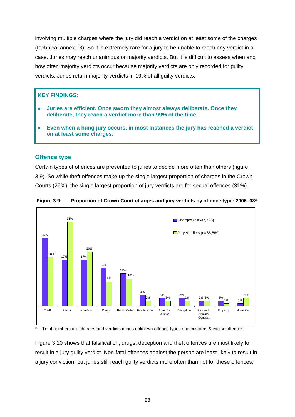involving multiple charges where the jury did reach a verdict on at least some of the charges (technical annex 13). So it is extremely rare for a jury to be unable to reach any verdict in a case. Juries may reach unanimous or majority verdicts. But it is difficult to assess when and how often majority verdicts occur because majority verdicts are only recorded for guilty verdicts. Juries return majority verdicts in 19% of all guilty verdicts.

## **KEY FINDINGS:**

- **Juries are efficient. Once sworn they almost always deliberate. Once they deliberate, they reach a verdict more than 99% of the time.**
- **Even when a hung jury occurs, in most instances the jury has reached a verdict on at least some charges.**

## **Offence type**

Certain types of offences are presented to juries to decide more often than others (figure 3.9). So while theft offences make up the single largest proportion of charges in the Crown Courts (25%), the single largest proportion of jury verdicts are for sexual offences (31%).



**Figure 3.9: Proportion of Crown Court charges and jury verdicts by offence type: 2006–08\*** 

Total numbers are charges and verdicts minus unknown offence types and customs & excise offences.

Figure 3.10 shows that falsification, drugs, deception and theft offences are most likely to result in a jury guilty verdict. Non-fatal offences against the person are least likely to result in a jury conviction, but juries still reach guilty verdicts more often than not for these offences.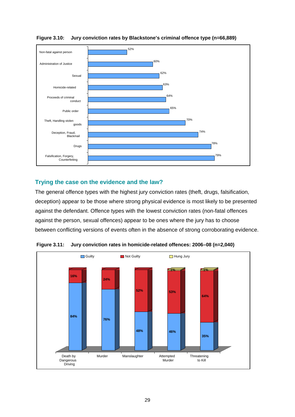

**Figure 3.10: Jury conviction rates by Blackstone's criminal offence type (n=66,889)** 

# **Trying the case on the evidence and the law?**

The general offence types with the highest jury conviction rates (theft, drugs, falsification, deception) appear to be those where strong physical evidence is most likely to be presented against the defendant. Offence types with the lowest conviction rates (non-fatal offences against the person, sexual offences) appear to be ones where the jury has to choose between conflicting versions of events often in the absence of strong corroborating evidence.



**Figure 3.11: Jury conviction rates in homicide-related offences: 2006–08 (n=2,040)**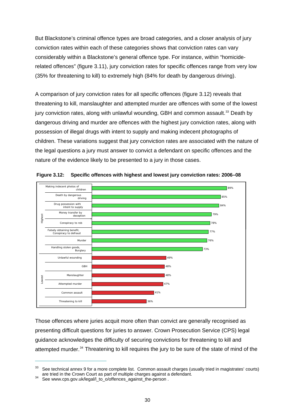But Blackstone's criminal offence types are broad categories, and a closer analysis of jury conviction rates within each of these categories shows that conviction rates can vary considerably within a Blackstone's general offence type. For instance, within "homiciderelated offences" (figure 3.11), jury conviction rates for specific offences range from very low (35% for threatening to kill) to extremely high (84% for death by dangerous driving).

A comparison of jury conviction rates for all specific offences (figure 3.12) reveals that threatening to kill, manslaughter and attempted murder are offences with some of the lowest jury conviction rates, along with unlawful wounding, GBH and common assault.<sup>[33](#page-48-0)</sup> Death by dangerous driving and murder are offences with the highest jury conviction rates, along with possession of illegal drugs with intent to supply and making indecent photographs of children. These variations suggest that jury conviction rates are associated with the nature of the legal questions a jury must answer to convict a defendant on specific offences and the nature of the evidence likely to be presented to a jury in those cases.



**Figure 3.12: Specific offences with highest and lowest jury conviction rates: 2006–08** 

Those offences where juries acquit more often than convict are generally recognised as presenting difficult questions for juries to answer. Crown Prosecution Service (CPS) legal guidance acknowledges the difficulty of securing convictions for threatening to kill and attempted murder.<sup>[34](#page-48-1)</sup> Threatening to kill requires the jury to be sure of the state of mind of the

<span id="page-48-0"></span><sup>&</sup>lt;sup>33</sup> See technical annex 9 for a more complete list. Common assault charges (usually tried in magistrates' courts) are t[ried in the Crown Court as part of multiple charges against](http://www.cps.gov.uk/legal/l_to_o/offences_against_the-person) a defendant.<br><sup>34</sup> See [www.cps.gov.uk/legal/l\\_to\\_o/offences\\_against\\_the-person](http://www.cps.gov.uk/legal/l_to_o/offences_against_the-person) .

<span id="page-48-1"></span>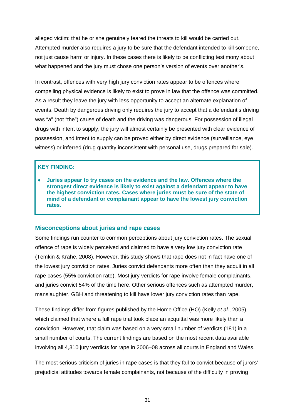alleged victim: that he or she genuinely feared the threats to kill would be carried out. Attempted murder also requires a jury to be sure that the defendant intended to kill someone, not just cause harm or injury. In these cases there is likely to be conflicting testimony about what happened and the jury must chose one person's version of events over another's.

In contrast, offences with very high jury conviction rates appear to be offences where compelling physical evidence is likely to exist to prove in law that the offence was committed. As a result they leave the jury with less opportunity to accept an alternate explanation of events. Death by dangerous driving only requires the jury to accept that a defendant's driving was "a" (not "the") cause of death and the driving was dangerous. For possession of illegal drugs with intent to supply, the jury will almost certainly be presented with clear evidence of possession, and intent to supply can be proved either by direct evidence (surveillance, eye witness) or inferred (drug quantity inconsistent with personal use, drugs prepared for sale).

## **KEY FINDING:**

 **Juries appear to try cases on the evidence and the law. Offences where the strongest direct evidence is likely to exist against a defendant appear to have the highest conviction rates. Cases where juries must be sure of the state of mind of a defendant or complainant appear to have the lowest jury conviction rates.**

## **Misconceptions about juries and rape cases**

Some findings run counter to common perceptions about jury conviction rates. The sexual offence of rape is widely perceived and claimed to have a very low jury conviction rate (Temkin & Krahe, 2008). However, this study shows that rape does not in fact have one of the lowest jury conviction rates. Juries convict defendants more often than they acquit in all rape cases (55% conviction rate). Most jury verdicts for rape involve female complainants, and juries convict 54% of the time here. Other serious offences such as attempted murder, manslaughter, GBH and threatening to kill have lower jury conviction rates than rape.

These findings differ from figures published by the Home Office (HO) (Kelly *et al*., 2005), which claimed that where a full rape trial took place an acquittal was more likely than a conviction. However, that claim was based on a very small number of verdicts (181) in a small number of courts. The current findings are based on the most recent data available involving all 4,310 jury verdicts for rape in 2006–08 across all courts in England and Wales.

The most serious criticism of juries in rape cases is that they fail to convict because of jurors' prejudicial attitudes towards female complainants, not because of the difficulty in proving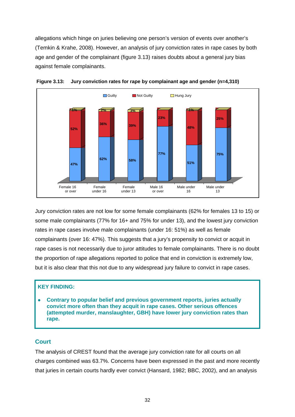allegations which hinge on juries believing one person's version of events over another's (Temkin & Krahe, 2008). However, an analysis of jury conviction rates in rape cases by both age and gender of the complainant (figure 3.13) raises doubts about a general jury bias against female complainants.





Jury conviction rates are not low for some female complainants (62% for females 13 to 15) or some male complainants (77% for 16+ and 75% for under 13), and the lowest jury conviction rates in rape cases involve male complainants (under 16: 51%) as well as female complainants (over 16: 47%). This suggests that a jury's propensity to convict or acquit in rape cases is not necessarily due to juror attitudes to female complainants. There is no doubt the proportion of rape allegations reported to police that end in conviction is extremely low, but it is also clear that this not due to any widespread jury failure to convict in rape cases.

## **KEY FINDING:**

 **Contrary to popular belief and previous government reports, juries actually convict more often than they acquit in rape cases. Other serious offences (attempted murder, manslaughter, GBH) have lower jury conviction rates than rape.** 

## **Court**

The analysis of CREST found that the average jury conviction rate for all courts on all charges combined was 63.7%. Concerns have been expressed in the past and more recently that juries in certain courts hardly ever convict (Hansard, 1982; BBC, 2002), and an analysis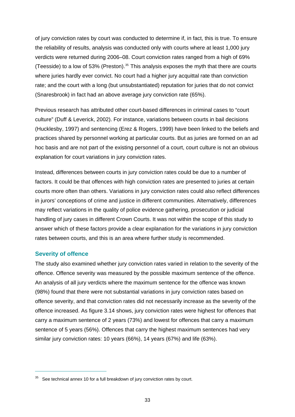of jury conviction rates by court was conducted to determine if, in fact, this is true. To ensure the reliability of results, analysis was conducted only with courts where at least 1,000 jury verdicts were returned during 2006–08. Court conviction rates ranged from a high of 69% (Teesside) to a low of 53% (Preston).<sup>[35](#page-51-0)</sup> This analysis exposes the myth that there are courts where juries hardly ever convict. No court had a higher jury acquittal rate than conviction rate; and the court with a long (but unsubstantiated) reputation for juries that do not convict (Snaresbrook) in fact had an above average jury conviction rate (65%).

Previous research has attributed other court-based differences in criminal cases to "court culture" (Duff & Leverick, 2002). For instance, variations between courts in bail decisions (Hucklesby, 1997) and sentencing (Erez & Rogers, 1999) have been linked to the beliefs and practices shared by personnel working at particular courts. But as juries are formed on an ad hoc basis and are not part of the existing personnel of a court, court culture is not an obvious explanation for court variations in jury conviction rates.

Instead, differences between courts in jury conviction rates could be due to a number of factors. It could be that offences with high conviction rates are presented to juries at certain courts more often than others. Variations in jury conviction rates could also reflect differences in jurors' conceptions of crime and justice in different communities. Alternatively, differences may reflect variations in the quality of police evidence gathering, prosecution or judicial handling of jury cases in different Crown Courts. It was not within the scope of this study to answer which of these factors provide a clear explanation for the variations in jury conviction rates between courts, and this is an area where further study is recommended.

#### **Severity of offence**

 $\overline{a}$ 

The study also examined whether jury conviction rates varied in relation to the severity of the offence. Offence severity was measured by the possible maximum sentence of the offence. An analysis of all jury verdicts where the maximum sentence for the offence was known (98%) found that there were not substantial variations in jury conviction rates based on offence severity, and that conviction rates did not necessarily increase as the severity of the offence increased. As figure 3.14 shows, jury conviction rates were highest for offences that carry a maximum sentence of 2 years (73%) and lowest for offences that carry a maximum sentence of 5 years (56%). Offences that carry the highest maximum sentences had very similar jury conviction rates: 10 years (66%), 14 years (67%) and life (63%).

<span id="page-51-0"></span> $35$  See technical annex 10 for a full breakdown of jury conviction rates by court.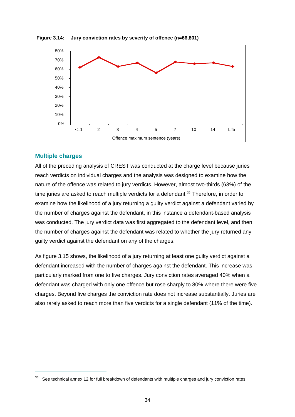

**Figure 3.14: Jury conviction rates by severity of offence (n=66,801)** 

#### **Multiple charges**

 $\overline{a}$ 

All of the preceding analysis of CREST was conducted at the charge level because juries reach verdicts on individual charges and the analysis was designed to examine how the nature of the offence was related to jury verdicts. However, almost two-thirds (63%) of the time juries are asked to reach multiple verdicts for a defendant.<sup>[36](#page-52-0)</sup> Therefore, in order to examine how the likelihood of a jury returning a guilty verdict against a defendant varied by the number of charges against the defendant, in this instance a defendant-based analysis was conducted. The jury verdict data was first aggregated to the defendant level, and then the number of charges against the defendant was related to whether the jury returned any guilty verdict against the defendant on any of the charges.

As figure 3.15 shows, the likelihood of a jury returning at least one guilty verdict against a defendant increased with the number of charges against the defendant. This increase was particularly marked from one to five charges. Jury conviction rates averaged 40% when a defendant was charged with only one offence but rose sharply to 80% where there were five charges. Beyond five charges the conviction rate does not increase substantially. Juries are also rarely asked to reach more than five verdicts for a single defendant (11% of the time).

<span id="page-52-0"></span>See technical annex 12 for full breakdown of defendants with multiple charges and jury conviction rates.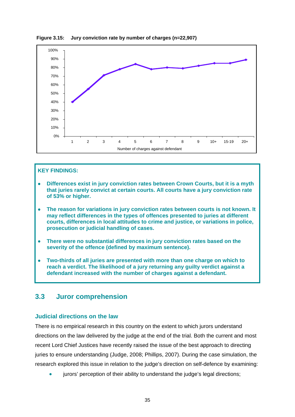

**Figure 3.15: Jury conviction rate by number of charges (n=22,907)** 

#### **KEY FINDINGS:**

- **Differences exist in jury conviction rates between Crown Courts, but it is a myth that juries rarely convict at certain courts. All courts have a jury conviction rate of 53% or higher.**
- **The reason for variations in jury conviction rates between courts is not known. It may reflect differences in the types of offences presented to juries at different courts, differences in local attitudes to crime and justice, or variations in police, prosecution or judicial handling of cases.**
- **There were no substantial differences in jury conviction rates based on the severity of the offence (defined by maximum sentence).**
- **Two-thirds of all juries are presented with more than one charge on which to reach a verdict. The likelihood of a jury returning any guilty verdict against a defendant increased with the number of charges against a defendant.**

## **3.3 Juror comprehension**

#### **Judicial directions on the law**

There is no empirical research in this country on the extent to which jurors understand directions on the law delivered by the judge at the end of the trial. Both the current and most recent Lord Chief Justices have recently raised the issue of the best approach to directing juries to ensure understanding (Judge, 2008; Phillips, 2007). During the case simulation, the research explored this issue in relation to the judge's direction on self-defence by examining:

jurors' perception of their ability to understand the judge's legal directions;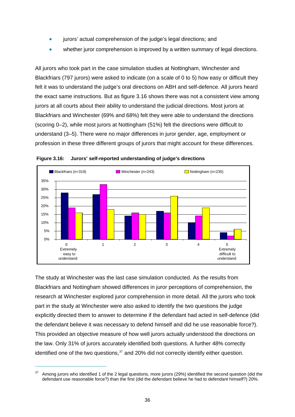- jurors' actual comprehension of the judge's legal directions; and
- whether juror comprehension is improved by a written summary of legal directions.

All jurors who took part in the case simulation studies at Nottingham, Winchester and Blackfriars (797 jurors) were asked to indicate (on a scale of 0 to 5) how easy or difficult they felt it was to understand the judge's oral directions on ABH and self-defence. All jurors heard the exact same instructions. But as figure 3.16 shows there was not a consistent view among jurors at all courts about their ability to understand the judicial directions. Most jurors at Blackfriars and Winchester (69% and 68%) felt they were able to understand the directions (scoring 0–2), while most jurors at Nottingham (51%) felt the directions were difficult to understand (3–5). There were no major differences in juror gender, age, employment or profession in these three different groups of jurors that might account for these differences.





The study at Winchester was the last case simulation conducted. As the results from Blackfriars and Nottingham showed differences in juror perceptions of comprehension, the research at Winchester explored juror comprehension in more detail. All the jurors who took part in the study at Winchester were also asked to identify the two questions the judge explicitly directed them to answer to determine if the defendant had acted in self-defence (did the defendant believe it was necessary to defend himself and did he use reasonable force?). This provided an objective measure of how well jurors actually understood the directions on the law. Only 31% of jurors accurately identified both questions. A further 48% correctly identified one of the two questions.<sup>[37](#page-54-0)</sup> and 20% did not correctly identify either question.

<span id="page-54-0"></span><sup>37</sup> Among jurors who identified 1 of the 2 legal questions, more jurors (29%) identified the second question (did the defendant use reasonable force?) than the first (did the defendant believe he had to defendant himself?) 20%.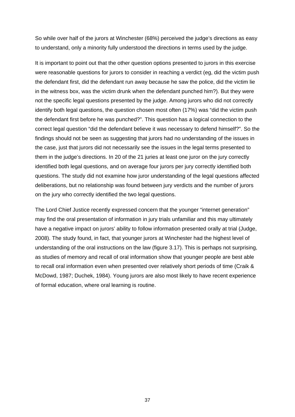So while over half of the jurors at Winchester (68%) perceived the judge's directions as easy to understand, only a minority fully understood the directions in terms used by the judge.

It is important to point out that the other question options presented to jurors in this exercise were reasonable questions for jurors to consider in reaching a verdict (eg, did the victim push the defendant first, did the defendant run away because he saw the police, did the victim lie in the witness box, was the victim drunk when the defendant punched him?). But they were not the specific legal questions presented by the judge. Among jurors who did not correctly identify both legal questions, the question chosen most often (17%) was "did the victim push the defendant first before he was punched?". This question has a logical connection to the correct legal question "did the defendant believe it was necessary to defend himself?". So the findings should not be seen as suggesting that jurors had no understanding of the issues in the case, just that jurors did not necessarily see the issues in the legal terms presented to them in the judge's directions. In 20 of the 21 juries at least one juror on the jury correctly identified both legal questions, and on average four jurors per jury correctly identified both questions. The study did not examine how juror understanding of the legal questions affected deliberations, but no relationship was found between jury verdicts and the number of jurors on the jury who correctly identified the two legal questions.

The Lord Chief Justice recently expressed concern that the younger "internet generation" may find the oral presentation of information in jury trials unfamiliar and this may ultimately have a negative impact on jurors' ability to follow information presented orally at trial (Judge, 2008). The study found, in fact, that younger jurors at Winchester had the highest level of understanding of the oral instructions on the law (figure 3.17). This is perhaps not surprising, as studies of memory and recall of oral information show that younger people are best able to recall oral information even when presented over relatively short periods of time (Craik & McDowd, 1987; Duchek, 1984). Young jurors are also most likely to have recent experience of formal education, where oral learning is routine.

37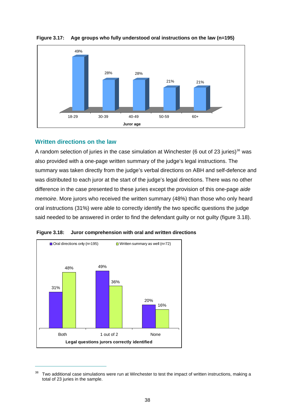

**Figure 3.17: Age groups who fully understood oral instructions on the law (n=195)** 

## **Written directions on the law**

 $\overline{a}$ 

A random selection of juries in the case simulation at Winchester (6 out of 23 juries)<sup>[38](#page-56-0)</sup> was also provided with a one-page written summary of the judge's legal instructions. The summary was taken directly from the judge's verbal directions on ABH and self-defence and was distributed to each juror at the start of the judge's legal directions. There was no other difference in the case presented to these juries except the provision of this one-page *aide memoire*. More jurors who received the written summary (48%) than those who only heard oral instructions (31%) were able to correctly identify the two specific questions the judge said needed to be answered in order to find the defendant guilty or not guilty (figure 3.18).



**Figure 3.18: Juror comprehension with oral and written directions** 

<span id="page-56-0"></span><sup>&</sup>lt;sup>38</sup> Two additional case simulations were run at Winchester to test the impact of written instructions, making a total of 23 juries in the sample.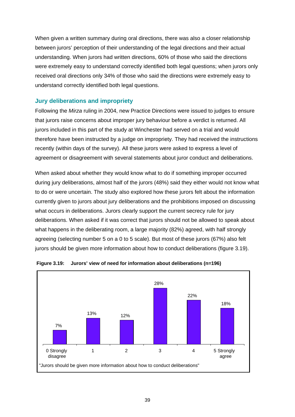When given a written summary during oral directions, there was also a closer relationship between jurors' perception of their understanding of the legal directions and their actual understanding. When jurors had written directions, 60% of those who said the directions were extremely easy to understand correctly identified both legal questions; when jurors only received oral directions only 34% of those who said the directions were extremely easy to understand correctly identified both legal questions.

## **Jury deliberations and impropriety**

Following the *Mirza* ruling in 2004, new Practice Directions were issued to judges to ensure that jurors raise concerns about improper jury behaviour before a verdict is returned. All jurors included in this part of the study at Winchester had served on a trial and would therefore have been instructed by a judge on impropriety. They had received the instructions recently (within days of the survey). All these jurors were asked to express a level of agreement or disagreement with several statements about juror conduct and deliberations.

When asked about whether they would know what to do if something improper occurred during jury deliberations, almost half of the jurors (48%) said they either would not know what to do or were uncertain. The study also explored how these jurors felt about the information currently given to jurors about jury deliberations and the prohibitions imposed on discussing what occurs in deliberations. Jurors clearly support the current secrecy rule for jury deliberations. When asked if it was correct that jurors should not be allowed to speak about what happens in the deliberating room, a large majority (82%) agreed, with half strongly agreeing (selecting number 5 on a 0 to 5 scale). But most of these jurors (67%) also felt jurors should be given more information about how to conduct deliberations (figure 3.19).



**Figure 3.19: Jurors' view of need for information about deliberations (n=196)**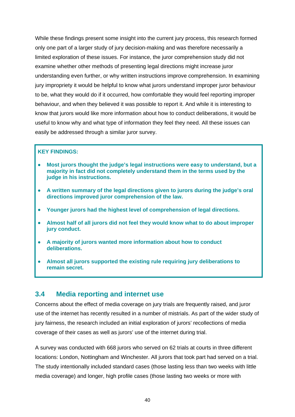While these findings present some insight into the current jury process, this research formed only one part of a larger study of jury decision-making and was therefore necessarily a limited exploration of these issues. For instance, the juror comprehension study did not examine whether other methods of presenting legal directions might increase juror understanding even further, or why written instructions improve comprehension. In examining jury impropriety it would be helpful to know what jurors understand improper juror behaviour to be, what they would do if it occurred, how comfortable they would feel reporting improper behaviour, and when they believed it was possible to report it. And while it is interesting to know that jurors would like more information about how to conduct deliberations, it would be useful to know why and what type of information they feel they need. All these issues can easily be addressed through a similar juror survey.

#### **KEY FINDINGS:**

- **Most jurors thought the judge's legal instructions were easy to understand, but a majority in fact did not completely understand them in the terms used by the judge in his instructions.**
- **A written summary of the legal directions given to jurors during the judge's oral directions improved juror comprehension of the law.**
- **Younger jurors had the highest level of comprehension of legal directions.**
- **Almost half of all jurors did not feel they would know what to do about improper jury conduct.**
- **A majority of jurors wanted more information about how to conduct deliberations.**
- **Almost all jurors supported the existing rule requiring jury deliberations to remain secret.**

# **3.4 Media reporting and internet use**

Concerns about the effect of media coverage on jury trials are frequently raised, and juror use of the internet has recently resulted in a number of mistrials. As part of the wider study of jury fairness, the research included an initial exploration of jurors' recollections of media coverage of their cases as well as jurors' use of the internet during trial.

A survey was conducted with 668 jurors who served on 62 trials at courts in three different locations: London, Nottingham and Winchester. All jurors that took part had served on a trial. The study intentionally included standard cases (those lasting less than two weeks with little media coverage) and longer, high profile cases (those lasting two weeks or more with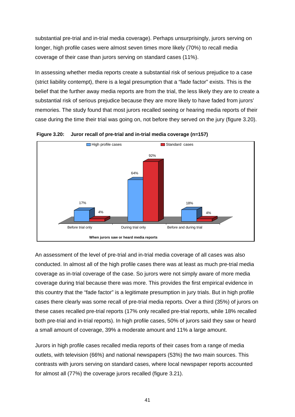substantial pre-trial and in-trial media coverage). Perhaps unsurprisingly, jurors serving on longer, high profile cases were almost seven times more likely (70%) to recall media coverage of their case than jurors serving on standard cases (11%).

In assessing whether media reports create a substantial risk of serious prejudice to a case (strict liability contempt), there is a legal presumption that a "fade factor" exists. This is the belief that the further away media reports are from the trial, the less likely they are to create a substantial risk of serious prejudice because they are more likely to have faded from jurors' memories. The study found that most jurors recalled seeing or hearing media reports of their case during the time their trial was going on, not before they served on the jury (figure 3.20).



**Figure 3.20: Juror recall of pre-trial and in-trial media coverage (n=157)** 

An assessment of the level of pre-trial and in-trial media coverage of all cases was also conducted. In almost all of the high profile cases there was at least as much pre-trial media coverage as in-trial coverage of the case. So jurors were not simply aware of more media coverage during trial because there was more. This provides the first empirical evidence in this country that the "fade factor" is a legitimate presumption in jury trials. But in high profile cases there clearly was some recall of pre-trial media reports. Over a third (35%) of jurors on these cases recalled pre-trial reports (17% only recalled pre-trial reports, while 18% recalled both pre-trial and in-trial reports). In high profile cases, 50% of jurors said they saw or heard a small amount of coverage, 39% a moderate amount and 11% a large amount.

Jurors in high profile cases recalled media reports of their cases from a range of media outlets, with television (66%) and national newspapers (53%) the two main sources. This contrasts with jurors serving on standard cases, where local newspaper reports accounted for almost all (77%) the coverage jurors recalled (figure 3.21).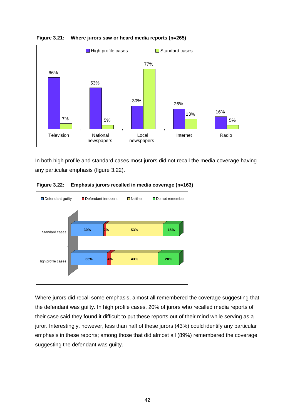



In both high profile and standard cases most jurors did not recall the media coverage having any particular emphasis (figure 3.22).



**Figure 3.22: Emphasis jurors recalled in media coverage (n=163)** 

Where jurors did recall some emphasis, almost all remembered the coverage suggesting that the defendant was guilty. In high profile cases, 20% of jurors who recalled media reports of their case said they found it difficult to put these reports out of their mind while serving as a juror. Interestingly, however, less than half of these jurors (43%) could identify any particular emphasis in these reports; among those that did almost all (89%) remembered the coverage suggesting the defendant was guilty.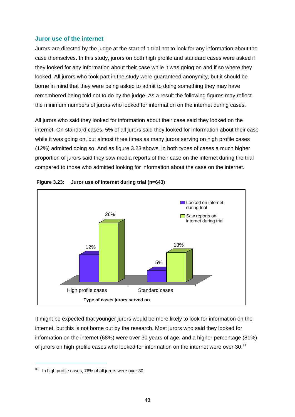#### **Juror use of the internet**

Jurors are directed by the judge at the start of a trial not to look for any information about the case themselves. In this study, jurors on both high profile and standard cases were asked if they looked for any information about their case while it was going on and if so where they looked. All jurors who took part in the study were guaranteed anonymity, but it should be borne in mind that they were being asked to admit to doing something they may have remembered being told not to do by the judge. As a result the following figures may reflect the minimum numbers of jurors who looked for information on the internet during cases.

All jurors who said they looked for information about their case said they looked on the internet. On standard cases, 5% of all jurors said they looked for information about their case while it was going on, but almost three times as many jurors serving on high profile cases (12%) admitted doing so. And as figure 3.23 shows, in both types of cases a much higher proportion of jurors said they saw media reports of their case on the internet during the trial compared to those who admitted looking for information about the case on the internet.



#### **Figure 3.23: Juror use of internet during trial (n=643)**

It might be expected that younger jurors would be more likely to look for information on the internet, but this is not borne out by the research. Most jurors who said they looked for information on the internet (68%) were over 30 years of age, and a higher percentage (81%) of jurors on high profile cases who looked for information on the internet were over 30.<sup>[39](#page-61-0)</sup>

<span id="page-61-0"></span> $39$  In high profile cases, 76% of all jurors were over 30.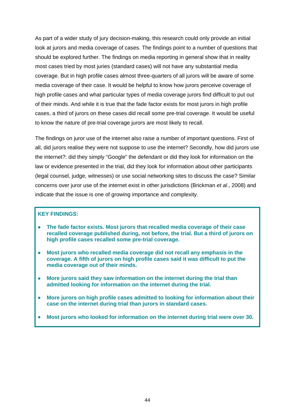As part of a wider study of jury decision-making, this research could only provide an initial look at jurors and media coverage of cases. The findings point to a number of questions that should be explored further. The findings on media reporting in general show that in reality most cases tried by most juries (standard cases) will not have any substantial media coverage. But in high profile cases almost three-quarters of all jurors will be aware of some media coverage of their case. It would be helpful to know how jurors perceive coverage of high profile cases and what particular types of media coverage jurors find difficult to put out of their minds. And while it is true that the fade factor exists for most jurors in high profile cases, a third of jurors on these cases did recall some pre-trial coverage. It would be useful to know the nature of pre-trial coverage jurors are most likely to recall.

The findings on juror use of the internet also raise a number of important questions. First of all, did jurors realise they were not suppose to use the internet? Secondly, how did jurors use the internet?: did they simply "Google" the defendant or did they look for information on the law or evidence presented in the trial, did they look for information about other participants (legal counsel, judge, witnesses) or use social networking sites to discuss the case? Similar concerns over juror use of the internet exist in other jurisdictions (Brickman *et al*., 2008) and indicate that the issue is one of growing importance and complexity.

#### **KEY FINDINGS:**

- **The fade factor exists. Most jurors that recalled media coverage of their case recalled coverage published during, not before, the trial. But a third of jurors on high profile cases recalled some pre-trial coverage.**
- **Most jurors who recalled media coverage did not recall any emphasis in the coverage. A fifth of jurors on high profile cases said it was difficult to put the media coverage out of their minds.**
- **More jurors said they saw information on the internet during the trial than admitted looking for information on the internet during the trial.**
- **More jurors on high profile cases admitted to looking for information about their case on the internet during trial than jurors in standard cases.**
- **Most jurors who looked for information on the internet during trial were over 30.**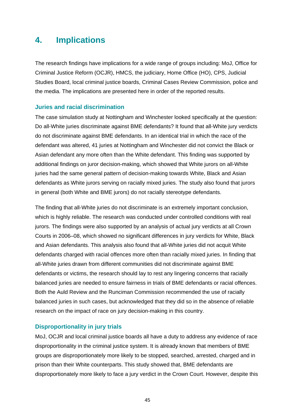# **4. Implications**

The research findings have implications for a wide range of groups including: MoJ, Office for Criminal Justice Reform (OCJR), HMCS, the judiciary, Home Office (HO), CPS, Judicial Studies Board, local criminal justice boards, Criminal Cases Review Commission, police and the media. The implications are presented here in order of the reported results.

#### **Juries and racial discrimination**

The case simulation study at Nottingham and Winchester looked specifically at the question: Do all-White juries discriminate against BME defendants? It found that all-White jury verdicts do not discriminate against BME defendants. In an identical trial in which the race of the defendant was altered, 41 juries at Nottingham and Winchester did not convict the Black or Asian defendant any more often than the White defendant. This finding was supported by additional findings on juror decision-making, which showed that White jurors on all-White juries had the same general pattern of decision-making towards White, Black and Asian defendants as White jurors serving on racially mixed juries. The study also found that jurors in general (both White and BME jurors) do not racially stereotype defendants.

The finding that all-White juries do not discriminate is an extremely important conclusion, which is highly reliable. The research was conducted under controlled conditions with real jurors. The findings were also supported by an analysis of actual jury verdicts at all Crown Courts in 2006–08, which showed no significant differences in jury verdicts for White, Black and Asian defendants. This analysis also found that all-White juries did not acquit White defendants charged with racial offences more often than racially mixed juries. In finding that all-White juries drawn from different communities did not discriminate against BME defendants or victims, the research should lay to rest any lingering concerns that racially balanced juries are needed to ensure fairness in trials of BME defendants or racial offences. Both the Auld Review and the Runciman Commission recommended the use of racially balanced juries in such cases, but acknowledged that they did so in the absence of reliable research on the impact of race on jury decision-making in this country.

## **Disproportionality in jury trials**

MoJ, OCJR and local criminal justice boards all have a duty to address any evidence of race disproportionality in the criminal justice system. It is already known that members of BME groups are disproportionately more likely to be stopped, searched, arrested, charged and in prison than their White counterparts. This study showed that, BME defendants are disproportionately more likely to face a jury verdict in the Crown Court. However, despite this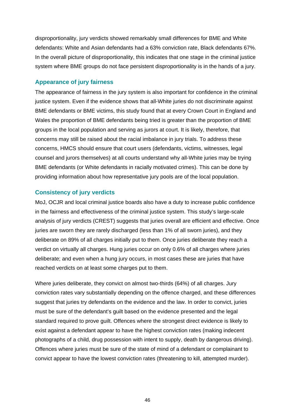disproportionality, jury verdicts showed remarkably small differences for BME and White defendants: White and Asian defendants had a 63% conviction rate, Black defendants 67%. In the overall picture of disproportionality, this indicates that one stage in the criminal justice system where BME groups do not face persistent disproportionality is in the hands of a jury.

#### **Appearance of jury fairness**

The appearance of fairness in the jury system is also important for confidence in the criminal justice system. Even if the evidence shows that all-White juries do not discriminate against BME defendants or BME victims, this study found that at every Crown Court in England and Wales the proportion of BME defendants being tried is greater than the proportion of BME groups in the local population and serving as jurors at court. It is likely, therefore, that concerns may still be raised about the racial imbalance in jury trials. To address these concerns, HMCS should ensure that court users (defendants, victims, witnesses, legal counsel and jurors themselves) at all courts understand why all-White juries may be trying BME defendants (or White defendants in racially motivated crimes). This can be done by providing information about how representative jury pools are of the local population.

## **Consistency of jury verdicts**

MoJ, OCJR and local criminal justice boards also have a duty to increase public confidence in the fairness and effectiveness of the criminal justice system. This study's large-scale analysis of jury verdicts (CREST) suggests that juries overall are efficient and effective. Once juries are sworn they are rarely discharged (less than 1% of all sworn juries), and they deliberate on 89% of all charges initially put to them. Once juries deliberate they reach a verdict on virtually all charges. Hung juries occur on only 0.6% of all charges where juries deliberate; and even when a hung jury occurs, in most cases these are juries that have reached verdicts on at least some charges put to them.

Where juries deliberate, they convict on almost two-thirds (64%) of all charges. Jury conviction rates vary substantially depending on the offence charged, and these differences suggest that juries try defendants on the evidence and the law. In order to convict, juries must be sure of the defendant's guilt based on the evidence presented and the legal standard required to prove guilt. Offences where the strongest direct evidence is likely to exist against a defendant appear to have the highest conviction rates (making indecent photographs of a child, drug possession with intent to supply, death by dangerous driving). Offences where juries must be sure of the state of mind of a defendant or complainant to convict appear to have the lowest conviction rates (threatening to kill, attempted murder).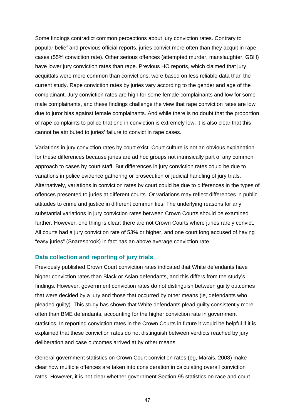Some findings contradict common perceptions about jury conviction rates. Contrary to popular belief and previous official reports, juries convict more often than they acquit in rape cases (55% conviction rate). Other serious offences (attempted murder, manslaughter, GBH) have lower jury conviction rates than rape. Previous HO reports, which claimed that jury acquittals were more common than convictions, were based on less reliable data than the current study. Rape conviction rates by juries vary according to the gender and age of the complainant. Jury conviction rates are high for some female complainants and low for some male complainants, and these findings challenge the view that rape conviction rates are low due to juror bias against female complainants. And while there is no doubt that the proportion of rape complaints to police that end in conviction is extremely low, it is also clear that this cannot be attributed to juries' failure to convict in rape cases.

Variations in jury conviction rates by court exist. Court culture is not an obvious explanation for these differences because juries are ad hoc groups not intrinsically part of any common approach to cases by court staff. But differences in jury conviction rates could be due to variations in police evidence gathering or prosecution or judicial handling of jury trials. Alternatively, variations in conviction rates by court could be due to differences in the types of offences presented to juries at different courts. Or variations may reflect differences in public attitudes to crime and justice in different communities. The underlying reasons for any substantial variations in jury conviction rates between Crown Courts should be examined further. However, one thing is clear: there are not Crown Courts where juries rarely convict. All courts had a jury conviction rate of 53% or higher, and one court long accused of having "easy juries" (Snaresbrook) in fact has an above average conviction rate.

#### **Data collection and reporting of jury trials**

Previously published Crown Court conviction rates indicated that White defendants have higher conviction rates than Black or Asian defendants, and this differs from the study's findings. However, government conviction rates do not distinguish between guilty outcomes that were decided by a jury and those that occurred by other means (ie, defendants who pleaded guilty). This study has shown that White defendants plead guilty consistently more often than BME defendants, accounting for the higher conviction rate in government statistics. In reporting conviction rates in the Crown Courts in future it would be helpful if it is explained that these conviction rates do not distinguish between verdicts reached by jury deliberation and case outcomes arrived at by other means.

General government statistics on Crown Court conviction rates (eg, Marais, 2008) make clear how multiple offences are taken into consideration in calculating overall conviction rates. However, it is not clear whether government Section 95 statistics on race and court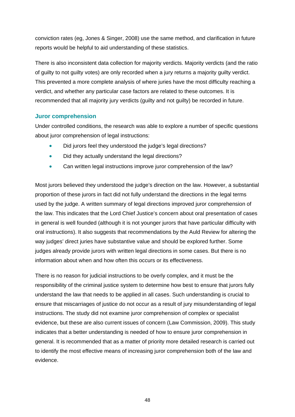conviction rates (eg, Jones & Singer, 2008) use the same method, and clarification in future reports would be helpful to aid understanding of these statistics.

There is also inconsistent data collection for majority verdicts. Majority verdicts (and the ratio of guilty to not guilty votes) are only recorded when a jury returns a majority guilty verdict. This prevented a more complete analysis of where juries have the most difficulty reaching a verdict, and whether any particular case factors are related to these outcomes. It is recommended that all majority jury verdicts (guilty and not guilty) be recorded in future.

#### **Juror comprehension**

Under controlled conditions, the research was able to explore a number of specific questions about juror comprehension of legal instructions:

- Did jurors feel they understood the judge's legal directions?
- Did they actually understand the legal directions?
- Can written legal instructions improve juror comprehension of the law?

Most jurors believed they understood the judge's direction on the law. However, a substantial proportion of these jurors in fact did not fully understand the directions in the legal terms used by the judge. A written summary of legal directions improved juror comprehension of the law. This indicates that the Lord Chief Justice's concern about oral presentation of cases in general is well founded (although it is not younger jurors that have particular difficulty with oral instructions). It also suggests that recommendations by the Auld Review for altering the way judges' direct juries have substantive value and should be explored further. Some judges already provide jurors with written legal directions in some cases. But there is no information about when and how often this occurs or its effectiveness.

There is no reason for judicial instructions to be overly complex, and it must be the responsibility of the criminal justice system to determine how best to ensure that jurors fully understand the law that needs to be applied in all cases. Such understanding is crucial to ensure that miscarriages of justice do not occur as a result of jury misunderstanding of legal instructions. The study did not examine juror comprehension of complex or specialist evidence, but these are also current issues of concern (Law Commission, 2009). This study indicates that a better understanding is needed of how to ensure juror comprehension in general. It is recommended that as a matter of priority more detailed research is carried out to identify the most effective means of increasing juror comprehension both of the law and evidence.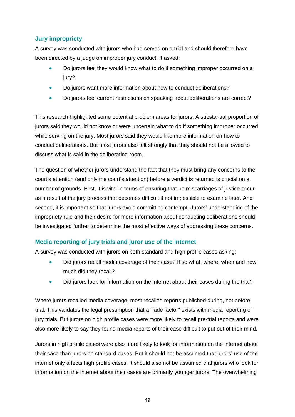# **Jury impropriety**

A survey was conducted with jurors who had served on a trial and should therefore have been directed by a judge on improper jury conduct. It asked:

- Do jurors feel they would know what to do if something improper occurred on a jury?
- Do jurors want more information about how to conduct deliberations?
- Do jurors feel current restrictions on speaking about deliberations are correct?

This research highlighted some potential problem areas for jurors. A substantial proportion of jurors said they would not know or were uncertain what to do if something improper occurred while serving on the jury. Most jurors said they would like more information on how to conduct deliberations. But most jurors also felt strongly that they should not be allowed to discuss what is said in the deliberating room.

The question of whether jurors understand the fact that they must bring any concerns to the court's attention (and only the court's attention) before a verdict is returned is crucial on a number of grounds. First, it is vital in terms of ensuring that no miscarriages of justice occur as a result of the jury process that becomes difficult if not impossible to examine later. And second, it is important so that jurors avoid committing contempt. Jurors' understanding of the impropriety rule and their desire for more information about conducting deliberations should be investigated further to determine the most effective ways of addressing these concerns.

# **Media reporting of jury trials and juror use of the internet**

A survey was conducted with jurors on both standard and high profile cases asking:

- Did jurors recall media coverage of their case? If so what, where, when and how much did they recall?
- Did jurors look for information on the internet about their cases during the trial?

Where jurors recalled media coverage, most recalled reports published during, not before, trial. This validates the legal presumption that a "fade factor" exists with media reporting of jury trials. But jurors on high profile cases were more likely to recall pre-trial reports and were also more likely to say they found media reports of their case difficult to put out of their mind.

Jurors in high profile cases were also more likely to look for information on the internet about their case than jurors on standard cases. But it should not be assumed that jurors' use of the internet only affects high profile cases. It should also not be assumed that jurors who look for information on the internet about their cases are primarily younger jurors. The overwhelming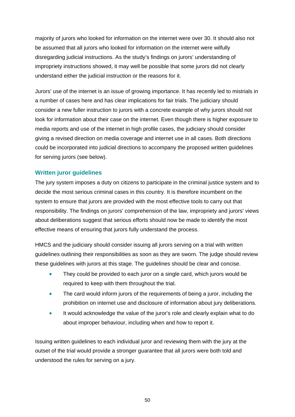majority of jurors who looked for information on the internet were over 30. It should also not be assumed that all jurors who looked for information on the internet were wilfully disregarding judicial instructions. As the study's findings on jurors' understanding of impropriety instructions showed, it may well be possible that some jurors did not clearly understand either the judicial instruction or the reasons for it.

Jurors' use of the internet is an issue of growing importance. It has recently led to mistrials in a number of cases here and has clear implications for fair trials. The judiciary should consider a new fuller instruction to jurors with a concrete example of why jurors should not look for information about their case on the internet. Even though there is higher exposure to media reports and use of the internet in high profile cases, the judiciary should consider giving a revised direction on media coverage and internet use in all cases. Both directions could be incorporated into judicial directions to accompany the proposed written guidelines for serving jurors (see below).

## **Written juror guidelines**

The jury system imposes a duty on citizens to participate in the criminal justice system and to decide the most serious criminal cases in this country. It is therefore incumbent on the system to ensure that jurors are provided with the most effective tools to carry out that responsibility. The findings on jurors' comprehension of the law, impropriety and jurors' views about deliberations suggest that serious efforts should now be made to identify the most effective means of ensuring that jurors fully understand the process.

HMCS and the judiciary should consider issuing all jurors serving on a trial with written guidelines outlining their responsibilities as soon as they are sworn. The judge should review these guidelines with jurors at this stage. The guidelines should be clear and concise.

- They could be provided to each juror on a single card, which jurors would be required to keep with them throughout the trial.
- The card would inform jurors of the requirements of being a juror, including the prohibition on internet use and disclosure of information about jury deliberations.
- It would acknowledge the value of the juror's role and clearly explain what to do about improper behaviour, including when and how to report it.

Issuing written guidelines to each individual juror and reviewing them with the jury at the outset of the trial would provide a stronger guarantee that all jurors were both told and understood the rules for serving on a jury.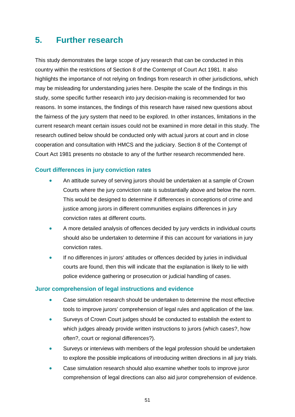# **5. Further research**

This study demonstrates the large scope of jury research that can be conducted in this country within the restrictions of Section 8 of the Contempt of Court Act 1981. It also highlights the importance of not relying on findings from research in other jurisdictions, which may be misleading for understanding juries here. Despite the scale of the findings in this study, some specific further research into jury decision-making is recommended for two reasons. In some instances, the findings of this research have raised new questions about the fairness of the jury system that need to be explored. In other instances, limitations in the current research meant certain issues could not be examined in more detail in this study. The research outlined below should be conducted only with actual jurors at court and in close cooperation and consultation with HMCS and the judiciary. Section 8 of the Contempt of Court Act 1981 presents no obstacle to any of the further research recommended here.

## **Court differences in jury conviction rates**

- An attitude survey of serving jurors should be undertaken at a sample of Crown Courts where the jury conviction rate is substantially above and below the norm. This would be designed to determine if differences in conceptions of crime and justice among jurors in different communities explains differences in jury conviction rates at different courts.
- A more detailed analysis of offences decided by jury verdicts in individual courts should also be undertaken to determine if this can account for variations in jury conviction rates.
- If no differences in jurors' attitudes or offences decided by juries in individual courts are found, then this will indicate that the explanation is likely to lie with police evidence gathering or prosecution or judicial handling of cases.

#### **Juror comprehension of legal instructions and evidence**

- Case simulation research should be undertaken to determine the most effective tools to improve jurors' comprehension of legal rules and application of the law.
- Surveys of Crown Court judges should be conducted to establish the extent to which judges already provide written instructions to jurors (which cases?, how often?, court or regional differences?).
- Surveys or interviews with members of the legal profession should be undertaken to explore the possible implications of introducing written directions in all jury trials.
- Case simulation research should also examine whether tools to improve juror comprehension of legal directions can also aid juror comprehension of evidence.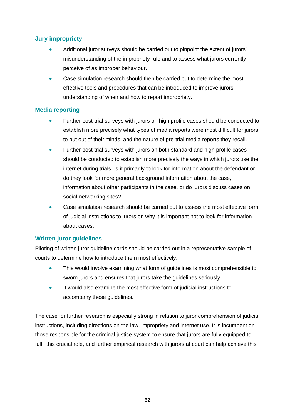# **Jury impropriety**

- Additional juror surveys should be carried out to pinpoint the extent of jurors' misunderstanding of the impropriety rule and to assess what jurors currently perceive of as improper behaviour.
- Case simulation research should then be carried out to determine the most effective tools and procedures that can be introduced to improve jurors' understanding of when and how to report impropriety.

## **Media reporting**

- Further post-trial surveys with jurors on high profile cases should be conducted to establish more precisely what types of media reports were most difficult for jurors to put out of their minds, and the nature of pre-trial media reports they recall.
- Further post-trial surveys with jurors on both standard and high profile cases should be conducted to establish more precisely the ways in which jurors use the internet during trials. Is it primarily to look for information about the defendant or do they look for more general background information about the case, information about other participants in the case, or do jurors discuss cases on social-networking sites?
- Case simulation research should be carried out to assess the most effective form of judicial instructions to jurors on why it is important not to look for information about cases.

# **Written juror guidelines**

Piloting of written juror guideline cards should be carried out in a representative sample of courts to determine how to introduce them most effectively.

- This would involve examining what form of guidelines is most comprehensible to sworn jurors and ensures that jurors take the guidelines seriously.
- It would also examine the most effective form of judicial instructions to accompany these guidelines.

The case for further research is especially strong in relation to juror comprehension of judicial instructions, including directions on the law, impropriety and internet use. It is incumbent on those responsible for the criminal justice system to ensure that jurors are fully equipped to fulfil this crucial role, and further empirical research with jurors at court can help achieve this.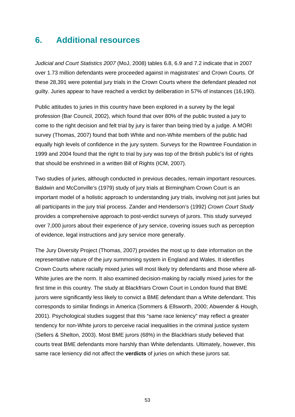# **6. Additional resources**

*Judicial and Court Statistics 2007* (MoJ, 2008) tables 6.8, 6.9 and 7.2 indicate that in 2007 over 1.73 million defendants were proceeded against in magistrates' and Crown Courts. Of these 28,391 were potential jury trials in the Crown Courts where the defendant pleaded not guilty. Juries appear to have reached a verdict by deliberation in 57% of instances (16,190).

Public attitudes to juries in this country have been explored in a survey by the legal profession (Bar Council, 2002), which found that over 80% of the public trusted a jury to come to the right decision and felt trial by jury is fairer than being tried by a judge. A MORI survey (Thomas, 2007) found that both White and non-White members of the public had equally high levels of confidence in the jury system. Surveys for the Rowntree Foundation in 1999 and 2004 found that the right to trial by jury was top of the British public's list of rights that should be enshrined in a written Bill of Rights (ICM, 2007).

Two studies of juries, although conducted in previous decades, remain important resources. Baldwin and McConville's (1979) study of jury trials at Birmingham Crown Court is an important model of a holistic approach to understanding jury trials, involving not just juries but all participants in the jury trial process. Zander and Henderson's (1992) *Crown Court Study* provides a comprehensive approach to post-verdict surveys of jurors. This study surveyed over 7,000 jurors about their experience of jury service, covering issues such as perception of evidence, legal instructions and jury service more generally.

The Jury Diversity Project (Thomas, 2007) provides the most up to date information on the representative nature of the jury summoning system in England and Wales. It identifies Crown Courts where racially mixed juries will most likely try defendants and those where all-White juries are the norm. It also examined decision-making by racially mixed juries for the first time in this country. The study at Blackfriars Crown Court in London found that BME jurors were significantly less likely to convict a BME defendant than a White defendant. This corresponds to similar findings in America (Sommers & Ellsworth, 2000; Abwender & Hough, 2001). Psychological studies suggest that this "same race leniency" may reflect a greater tendency for non-White jurors to perceive racial inequalities in the criminal justice system (Sellers & Shelton, 2003). Most BME jurors (68%) in the Blackfriars study believed that courts treat BME defendants more harshly than White defendants. Ultimately, however, this same race leniency did not affect the **verdicts** of juries on which these jurors sat.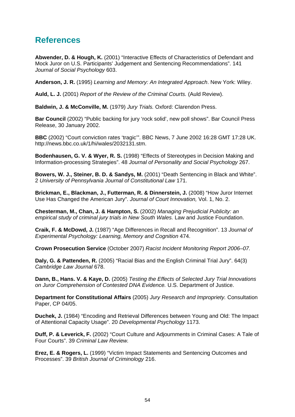# **References**

**Abwender, D. & Hough, K.** (2001) "Interactive Effects of Characteristics of Defendant and Mock Juror on U.S. Participants' Judgement and Sentencing Recommendations". 141 *Journal of Social Psychology* 603.

**Anderson, J. R.** (1995) *Learning and Memory: An Integrated Approach*. New York: Wiley.

**Auld, L. J.** (2001) *Report of the Review of the Criminal Courts.* (Auld Review).

**Baldwin, J. & McConville, M.** (1979) *Jury Trials.* Oxford: Clarendon Press.

**Bar Council** (2002) "Public backing for jury 'rock solid', new poll shows". Bar Council Press Release, 30 January 2002.

**BBC** (2002) "Court conviction rates 'tragic'". BBC News, 7 June 2002 16:28 GMT 17:28 UK. [http://news.bbc.co.uk/1/hi/wales/2032131.stm.](http://news.bbc.co.uk/1/hi/wales/2032131.stm)

**Bodenhausen, G. V. & Wyer, R. S.** (1998) "Effects of Stereotypes in Decision Making and Information-processing Strategies". 48 *Journal of Personality and Social Psychology* 267.

**Bowers, W. J., Steiner, B. D. & Sandys, M.** (2001) "Death Sentencing in Black and White". 2 *University of Pennsylvania Journal of Constitutional Law* 171.

**Brickman, E., Blackman, J., Futterman, R. & Dinnerstein, J.** (2008) "How Juror Internet Use Has Changed the American Jury". *Journal of Court Innovation,* Vol. 1, No. 2.

**Chesterman, M., Chan, J. & Hampton, S.** (2002) *Managing Prejudicial Publicity: an empirical study of criminal jury trials in New South Wales.* Law and Justice Foundation.

**Craik, F. & McDowd, J.** (1987) "Age Differences in Recall and Recognition". 13 *Journal of Experimental Psychology: Learning, Memory and Cognition* 474.

**Crown Prosecution Service** (October 2007) *Racist Incident Monitoring Report 2006–07.*

**Daly, G. & Pattenden, R.** (2005) "Racial Bias and the English Criminal Trial Jury". 64(3) *Cambridge Law Journal* 678.

**Dann, B., Hans. V. & Kaye, D.** (2005) *Testing the Effects of Selected Jury Trial Innovations on Juror Comprehension of Contested DNA Evidence.* U.S. Department of Justice.

**Department for Constitutional Affairs** (2005) *Jury Research and Impropriety.* Consultation Paper, CP 04/05.

**Duchek, J.** (1984) "Encoding and Retrieval Differences between Young and Old: The Impact of Attentional Capacity Usage". 20 *Developmental Psychology* 1173.

**Duff, P. & Leverick, F.** (2002) "Court Culture and Adjournments in Criminal Cases: A Tale of Four Courts". 39 *Criminal Law Review.*

**Erez, E. & Rogers, L.** (1999) "Victim Impact Statements and Sentencing Outcomes and Processes". 39 *British Journal of Criminology* 216.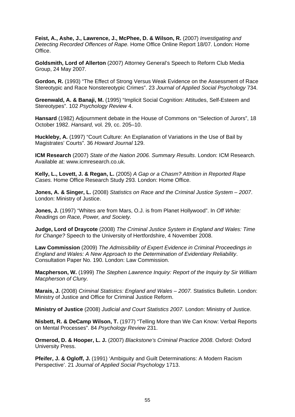**Feist, A., Ashe, J., Lawrence, J., McPhee, D. & Wilson, R.** (2007) *Investigating and Detecting Recorded Offences of Rape.* Home Office Online Report 18/07. London: Home Office.

**Goldsmith, Lord of Allerton** (2007) Attorney General's Speech to Reform Club Media Group, 24 May 2007.

**Gordon, R.** (1993) "The Effect of Strong Versus Weak Evidence on the Assessment of Race Stereotypic and Race Nonstereotypic Crimes". 23 *Journal of Applied Social Psychology* 734.

**Greenwald, A. & Banaji, M.** (1995) "Implicit Social Cognition: Attitudes, Self-Esteem and Stereotypes". 102 *Psychology Review* 4.

**Hansard** (1982) Adjournment debate in the House of Commons on "Selection of Jurors", 18 October 1982. *Hansard,* vol. 29, cc. 205–10.

**Huckleby, A.** (1997) "Court Culture: An Explanation of Variations in the Use of Bail by Magistrates' Courts". 36 *Howard Journal* 129.

**ICM Research** (2007) *State of the Nation 2006. Summary Results*. London: ICM Research. Available at: [www.icmresearch.co.uk](http://www.icmresearch.co.uk/).

**Kelly, L., Lovett, J. & Regan, L.** (2005) *A Gap or a Chasm? Attrition in Reported Rape Cases.* Home Office Research Study 293. London: Home Office.

**Jones, A. & Singer, L.** (2008) *Statistics on Race and the Criminal Justice System – 2007*. London: Ministry of Justice.

**Jones, J.** (1997) "Whites are from Mars, O.J. is from Planet Hollywood". In *Off White: Readings on Race, Power, and Society.*

**Judge, Lord of Draycote** (2008) *The Criminal Justice System in England and Wales: Time for Change?* Speech to the University of Hertfordshire, 4 November 2008.

**Law Commission** (2009) *The Admissibility of Expert Evidence in Criminal Proceedings in England and Wales: A New Approach to the Determination of Evidentiary Reliability*. Consultation Paper No. 190. London: Law Commission.

**Macpherson, W.** (1999) *The Stephen Lawrence Inquiry: Report of the Inquiry by Sir William Macpherson of Cluny.*

**Marais, J.** (2008) *Criminal Statistics: England and Wales – 2007.* Statistics Bulletin. London: Ministry of Justice and Office for Criminal Justice Reform.

**Ministry of Justice** (2008) *Judicial and Court Statistics 2007.* London: Ministry of Justice.

**Nisbett, R. & DeCamp Wilson, T.** (1977) "Telling More than We Can Know: Verbal Reports on Mental Processes". 84 *Psychology Review* 231.

**Ormerod, D. & Hooper, L. J.** (2007) *Blackstone's Criminal Practice 2008*. Oxford: Oxford University Press.

**Pfeifer, J. & Ogloff, J.** (1991) 'Ambiguity and Guilt Determinations: A Modern Racism Perspective'. 21 *Journal of Applied Social Psychology* 1713.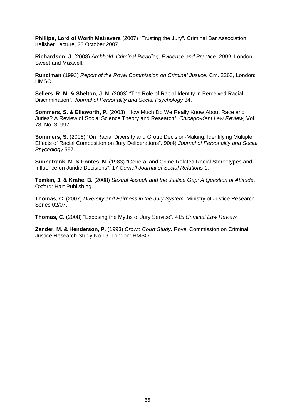**Phillips, Lord of Worth Matravers** (2007) "Trusting the Jury". Criminal Bar Association Kalisher Lecture, 23 October 2007.

**Richardson, J.** (2008) *Archbold: Criminal Pleading, Evidence and Practice: 2009*. London: Sweet and Maxwell.

**Runciman** (1993) *Report of the Royal Commission on Criminal Justice.* Cm. 2263, London: HMSO.

**Sellers, R. M. & Shelton, J. N.** (2003) "The Role of Racial Identity in Perceived Racial Discrimination". *Journal of Personality and Social Psychology* 84.

**Sommers, S. & Ellsworth, P.** (2003) "How Much Do We Really Know About Race and Juries? A Review of Social Science Theory and Research". *Chicago-Kent Law Review,* Vol. 78, No. 3, 997.

**Sommers, S.** (2006) "On Racial Diversity and Group Decision-Making: Identifying Multiple Effects of Racial Composition on Jury Deliberations". 90(4) *Journal of Personality and Social Psychology* 597.

**Sunnafrank, M. & Fontes, N.** (1983) "General and Crime Related Racial Stereotypes and Influence on Juridic Decisions". 17 *Cornell Journal of Social Relations* 1.

**Temkin, J. & Krahe, B.** (2008) *Sexual Assault and the Justice Gap: A Question of Attitude*. Oxford: Hart Publishing.

**Thomas, C.** (2007) *Diversity and Fairness in the Jury System*. Ministry of Justice Research Series 02/07.

**Thomas, C.** (2008) "Exposing the Myths of Jury Service". 415 *Criminal Law Review.*

**Zander, M. & Henderson, P.** (1993) *Crown Court Study.* Royal Commission on Criminal Justice Research Study No.19. London: HMSO.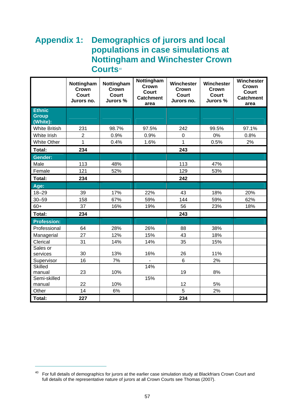# **Appendix 1: Demographics of jurors and local populations in case simulations at Notting[h](#page-75-0)am and Winchester Crown Courts**[40](#page-75-0)

|                                           | Nottingham<br>Crown<br><b>Court</b><br>Jurors no. | Nottingham<br>Crown<br>Court<br>Jurors % | Nottingham<br>Crown<br><b>Court</b><br><b>Catchment</b><br>area | Winchester<br>Crown<br><b>Court</b><br>Jurors no. | Winchester<br>Crown<br><b>Court</b><br>Jurors % | Winchester<br>Crown<br><b>Court</b><br><b>Catchment</b><br>area |
|-------------------------------------------|---------------------------------------------------|------------------------------------------|-----------------------------------------------------------------|---------------------------------------------------|-------------------------------------------------|-----------------------------------------------------------------|
| <b>Ethnic</b><br><b>Group</b><br>(White): |                                                   |                                          |                                                                 |                                                   |                                                 |                                                                 |
| <b>White British</b>                      | 231                                               | 98.7%                                    | 97.5%                                                           | 242                                               | 99.5%                                           | 97.1%                                                           |
| White Irish                               | $\overline{2}$                                    | 0.9%                                     | 0.9%                                                            | $\pmb{0}$                                         | 0%                                              | 0.8%                                                            |
| <b>White Other</b>                        | $\overline{1}$                                    | 0.4%                                     | 1.6%                                                            | $\mathbf{1}$                                      | 0.5%                                            | 2%                                                              |
| Total:                                    | 234                                               |                                          |                                                                 | 243                                               |                                                 |                                                                 |
| <b>Gender:</b>                            |                                                   |                                          |                                                                 |                                                   |                                                 |                                                                 |
| Male                                      | 113                                               | 48%                                      |                                                                 | 113                                               | 47%                                             |                                                                 |
| Female                                    | 121                                               | 52%                                      |                                                                 | 129                                               | 53%                                             |                                                                 |
| Total:                                    | 234                                               |                                          |                                                                 | 242                                               |                                                 |                                                                 |
| Age:                                      |                                                   |                                          |                                                                 |                                                   |                                                 |                                                                 |
| $18 - 29$                                 | 39                                                | 17%                                      | 22%                                                             | 43                                                | 18%                                             | 20%                                                             |
| $30 - 59$                                 | 158                                               | 67%                                      | 59%                                                             | 144                                               | 59%                                             | 62%                                                             |
| $60+$                                     | 37                                                | 16%                                      | 19%                                                             | 56                                                | 23%                                             | 18%                                                             |
| Total:                                    | 234                                               |                                          |                                                                 | 243                                               |                                                 |                                                                 |
| <b>Profession:</b>                        |                                                   |                                          |                                                                 |                                                   |                                                 |                                                                 |
| Professional                              | 64                                                | 28%                                      | 26%                                                             | 88                                                | 38%                                             |                                                                 |
| Managerial                                | 27                                                | 12%                                      | 15%                                                             | 43                                                | 18%                                             |                                                                 |
| Clerical                                  | 31                                                | 14%                                      | 14%                                                             | 35                                                | 15%                                             |                                                                 |
| Sales or<br>services                      | 30                                                | 13%                                      | 16%                                                             | 26                                                | 11%                                             |                                                                 |
| Supervisor                                | 16                                                | 7%                                       |                                                                 | $6\phantom{1}$                                    | 2%                                              |                                                                 |
| Skilled                                   |                                                   |                                          | 14%                                                             |                                                   |                                                 |                                                                 |
| manual                                    | 23                                                | 10%                                      |                                                                 | 19                                                | 8%                                              |                                                                 |
| Semi-skilled<br>manual                    | 22                                                | 10%                                      | 15%                                                             | 12                                                | 5%                                              |                                                                 |
| Other                                     | 14                                                | 6%                                       |                                                                 | 5                                                 | 2%                                              |                                                                 |
| Total:                                    | 227                                               |                                          |                                                                 | 234                                               |                                                 |                                                                 |

 $\overline{a}$ 

<span id="page-75-0"></span> $40$  For full details of demographics for jurors at the earlier case simulation study at Blackfriars Crown Court and full details of the representative nature of jurors at all Crown Courts see Thomas (2007).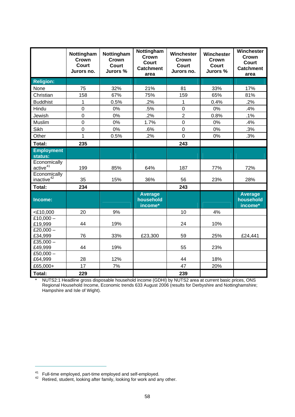|                                        | Nottingham<br>Crown<br><b>Court</b><br>Jurors no. | Nottingham<br>Crown<br><b>Court</b><br>Jurors % | Nottingham<br>Crown<br>Court<br><b>Catchment</b><br>area | Winchester<br>Crown<br><b>Court</b><br>Jurors no. | Winchester<br>Crown<br><b>Court</b><br>Jurors % | Winchester<br>Crown<br><b>Court</b><br><b>Catchment</b><br>area |
|----------------------------------------|---------------------------------------------------|-------------------------------------------------|----------------------------------------------------------|---------------------------------------------------|-------------------------------------------------|-----------------------------------------------------------------|
| <b>Religion:</b>                       |                                                   |                                                 |                                                          |                                                   |                                                 |                                                                 |
| None                                   | 75                                                | 32%                                             | 21%                                                      | 81                                                | 33%                                             | 17%                                                             |
| Christian                              | 158                                               | 67%                                             | 75%                                                      | 159                                               | 65%                                             | 81%                                                             |
| <b>Buddhist</b>                        | 1                                                 | 0.5%                                            | .2%                                                      | 1                                                 | 0.4%                                            | .2%                                                             |
| Hindu                                  | $\overline{0}$                                    | 0%                                              | .5%                                                      | $\overline{0}$                                    | 0%                                              | .4%                                                             |
| Jewish                                 | 0                                                 | 0%                                              | .2%                                                      | $\overline{2}$                                    | 0.8%                                            | .1%                                                             |
| Muslim                                 | $\mathbf 0$                                       | 0%                                              | 1.7%                                                     | $\mathbf 0$                                       | 0%                                              | .4%                                                             |
| <b>Sikh</b>                            | $\overline{0}$                                    | 0%                                              | .6%                                                      | $\overline{0}$                                    | 0%                                              | .3%                                                             |
| Other                                  | 1                                                 | 0.5%                                            | .2%                                                      | $\overline{0}$                                    | 0%                                              | .3%                                                             |
| <b>Total:</b>                          | 235                                               |                                                 |                                                          | 243                                               |                                                 |                                                                 |
| <b>Employment</b><br>status:           |                                                   |                                                 |                                                          |                                                   |                                                 |                                                                 |
| Economically<br>active <sup>41</sup>   | 199                                               | 85%                                             | 64%                                                      | 187                                               | 77%                                             | 72%                                                             |
| Economically<br>inactive <sup>42</sup> | 35                                                | 15%                                             | 36%                                                      | 56                                                | 23%                                             | 28%                                                             |
| Total:                                 | 234                                               |                                                 |                                                          | 243                                               |                                                 |                                                                 |
| Income:                                |                                                   |                                                 | <b>Average</b><br>household<br>income*                   |                                                   |                                                 | <b>Average</b><br>household<br>income*                          |
| $<$ £10,000                            | 20                                                | 9%                                              |                                                          | 10                                                | 4%                                              |                                                                 |
| £10,000 $-$<br>£19,999                 | 44                                                | 19%                                             |                                                          | 24                                                | 10%                                             |                                                                 |
| £20,000 $-$<br>£34,999                 | 76                                                | 33%                                             | £23,300                                                  | 59                                                | 25%                                             | £24,441                                                         |
| £35,000 $-$<br>£49,999                 | 44                                                | 19%                                             |                                                          | 55                                                | 23%                                             |                                                                 |
| £50,000 $-$<br>£64,999                 | 28                                                | 12%                                             |                                                          | 44                                                | 18%                                             |                                                                 |
| £65,000+                               | 17                                                | 7%                                              |                                                          | 47                                                | 20%                                             |                                                                 |
| Total:                                 | 229                                               |                                                 |                                                          | 239                                               |                                                 |                                                                 |

\* NUTS2:1 Headline gross disposable household income (GDHI) by NUTS2 area at current basic prices, ONS Regional Household Income, Economic trends 633 August 2006 (results for Derbyshire and Nottinghamshire; Hampshire and Isle of Wight).

 $\overline{a}$ 

<span id="page-76-1"></span><span id="page-76-0"></span><sup>&</sup>lt;sup>41</sup> Full-time employed, part-time employed and self-employed.<br><sup>42</sup> Retired, student, looking after family, looking for work and any other.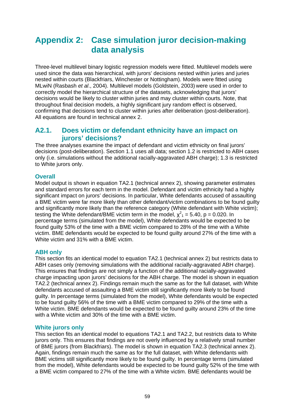# **Appendix 2: Case simulation juror decision-making data analysis**

Three-level multilevel binary logistic regression models were fitted. Multilevel models were used since the data was hierarchical, with jurors' decisions nested within juries and juries nested within courts (Blackfriars, Winchester or Nottingham). Models were fitted using MLwiN (Rasbash *et al*., 2004). Multilevel models (Goldstein, 2003) were used in order to correctly model the hierarchical structure of the datasets, acknowledging that jurors' decisions would be likely to cluster within juries and may cluster within courts. Note, that throughout final decision models, a highly significant jury random effect is observed, confirming that decisions tend to cluster within juries after deliberation (post-deliberation). All equations are found in technical annex 2.

## **A2.1. Does victim or defendant ethnicity have an impact on jurors' decisions?**

The three analyses examine the impact of defendant and victim ethnicity on final jurors' decisions (post-deliberation). Section 1.1 uses all data; section 1.2 is restricted to ABH cases only (i.e. simulations without the additional racially-aggravated ABH charge); 1.3 is restricted to White jurors only.

### **Overall**

Model output is shown in equation TA2.1 (technical annex 2), showing parameter estimates and standard errors for each term in the model. Defendant and victim ethnicity had a highly significant impact on jurors' decisions. In particular, White defendants accused of assaulting a BME victim were far more likely than other defendant/victim combinations to be found guilty and significantly more likely than the reference category (White defendant with White victim); testing the White defendant/BME victim term in the model,  $\chi^2$ <sub>1</sub> = 5.40, p = 0.020. In percentage terms (simulated from the model), White defendants would be expected to be found guilty 53% of the time with a BME victim compared to 28% of the time with a White victim. BME defendants would be expected to be found guilty around 27% of the time with a White victim and 31% with a BME victim.

### **ABH only**

This section fits an identical model to equation TA2.1 (technical annex 2) but restricts data to ABH cases only (removing simulations with the additional racially-aggravated ABH charge). This ensures that findings are not simply a function of the additional racially-aggravated charge impacting upon jurors' decisions for the ABH charge. The model is shown in equation TA2.2 (technical annex 2). Findings remain much the same as for the full dataset, with White defendants accused of assaulting a BME victim still significantly more likely to be found guilty. In percentage terms (simulated from the model), White defendants would be expected to be found guilty 56% of the time with a BME victim compared to 29% of the time with a White victim. BME defendants would be expected to be found guilty around 23% of the time with a White victim and 30% of the time with a BME victim.

### **White jurors only**

This section fits an identical model to equations TA2.1 and TA2.2, but restricts data to White jurors only. This ensures that findings are not overly influenced by a relatively small number of BME jurors (from Blackfriars). The model is shown in equation TA2.3 (technical annex 2). Again, findings remain much the same as for the full dataset, with White defendants with BME victims still significantly more likely to be found guilty. In percentage terms (simulated from the model), White defendants would be expected to be found guilty 52% of the time with a BME victim compared to 27% of the time with a White victim. BME defendants would be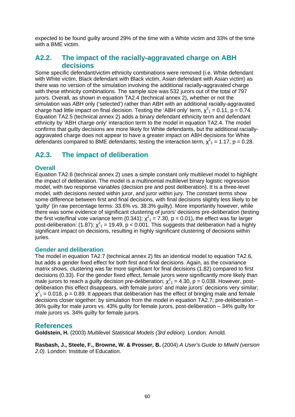expected to be found guilty around 29% of the time with a White victim and 33% of the time with a BME victim.

## **A2.2. The impact of the racially-aggravated charge on ABH decisions**

Some specific defendant/victim ethnicity combinations were removed (i.e. White defendant with White victim, Black defendant with Black victim, Asian defendant with Asian victim) as there was no version of the simulation involving the additional racially-aggravated charge with these ethnicity combinations. The sample size was 532 jurors out of the total of 797 jurors. Overall, as shown in equation TA2.4 (technical annex 2), whether or not the simulation was ABH only ('selected') rather than ABH with an additional racially-aggravated charge had little impact on final decision. Testing the 'ABH only' term,  $\chi^2$ <sub>1</sub> = 0.11, p = 0.74. Equation TA2.5 (technical annex 2) adds a binary defendant ethnicity term and defendant ethnicity by 'ABH charge only' interaction term to the model in equation TA2.4. The model confirms that guilty decisions are more likely for White defendants, but the additional raciallyaggravated charge does not appear to have a greater impact on ABH decisions for White defendants compared to BME defendants; testing the interaction term,  $\chi^2$ <sub>1</sub> = 1.17, p = 0.28.

## **A2.3. The impact of deliberation**

### **Overall**

Equation TA2.6 (technical annex 2) uses a simple constant only multilevel model to highlight the impact of deliberation. The model is a multinomial multilevel binary logistic regression model, with two response variables (decision pre and post deliberation). It is a three-level model, with decisions nested within juror, and juror within jury. The constant terms show some difference between first and final decisions, with final decisions slightly less likely to be 'guilty' (in raw percentage terms: 33.6% vs. 38.3% guilty). More importantly however, while there was some evidence of significant clustering of jurors' decisions pre-deliberation (testing the first vote/final vote variance term (0.341);  $\chi^2$ <sub>1</sub> = 7.30, p = 0.01), the effect was far larger post-deliberation: (1.87);  $\chi^2$ <sub>1</sub> = 19.49, p < 0.001. This suggests that deliberation had a highly significant impact on decisions, resulting in highly significant clustering of decisions within juries.

#### **Gender and deliberation**

The model in equation TA2.7 (technical annex 2) fits an identical model to equation TA2.6, but adds a gender fixed effect for both first and final decisions. Again, as the covariance matrix shows, clustering was far more significant for final decisions (1.82) compared to first decisions (0.33). For the gender fixed effect, female jurors were significantly more likely than male jurors to reach a guilty decision pre-deliberation;  $\chi^2$ <sub>1</sub> = 4.30, p = 0.038. However, postdeliberation this effect disappears, with female jurors' and male jurors' decisions very similar;  $\chi^2$ <sub>1</sub> = 0.018, p = 0.89. It appears that deliberation has the effect of bringing male and female decisions closer together: by simulation from the model in equation TA2.7; pre-deliberation – 36% guilty for male jurors vs. 43% guilty for female jurors, post-deliberation – 34% guilty for male jurors vs. 34% guilty for female jurors.

### **References**

**Goldstein, H.** (2003) *Multilevel Statistical Models (3rd edition).* London: Arnold.

**Rasbash, J., Steele, F., Browne, W. & Prosser, B.** (2004) *A User's Guide to MlwiN (version 2.0).* London: Institute of Education.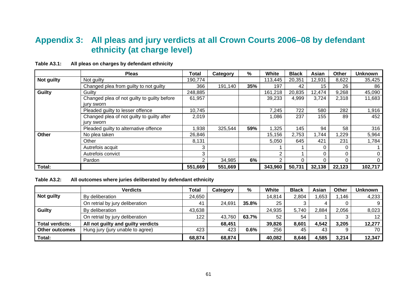# **Appendix 3: All pleas and jury verdicts at all Crown Courts 2006–08 by defendant ethnicity (at charge level)**

|            | <b>Pleas</b>                                              | Total   | Category | %   | <b>White</b> | <b>Black</b> | Asian  | Other    | <b>Unknown</b> |
|------------|-----------------------------------------------------------|---------|----------|-----|--------------|--------------|--------|----------|----------------|
| Not guilty | Not guilty                                                | 190,774 |          |     | 113,445      | 20,351       | 12,931 | 8,622    | 35,425         |
|            | Changed plea from guilty to not guilty                    | 366     | 191,140  | 35% | 197          | 42           | 15     | 26       | 86             |
| Guilty     | Guilty                                                    | 248,885 |          |     | 161,218      | 20,835       | 12,474 | 9,268    | 45,090         |
|            | Changed plea of not guilty to guilty before<br>jury sworn | 61,957  |          |     | 39,233       | 4,999        | 3,724  | 2,318    | 11,683         |
|            | Pleaded guilty to lesser offence                          | 10,745  |          |     | 7,245        | 722          | 580    | 282      | 1,916          |
|            | Changed plea of not guilty to guilty after<br>jury sworn  | 2,019   |          |     | 1,086        | 237          | 155    | 89       | 452            |
|            | Pleaded guilty to alternative offence                     | 1,938   | 325,544  | 59% | 1,325        | 145          | 94     | 58       | 316            |
| Other      | No plea taken                                             | 26,846  |          |     | 15,156       | 2,753        | .744   | 1,229    | 5,964          |
|            | Other                                                     | 8,131   |          |     | 5,050        | 645          | 421    | 231      | 1,784          |
|            | Autrefois acquit                                          | 3       |          |     |              |              | 0      | $\Omega$ |                |
|            | Autrefois convict                                         | 3       |          |     | 2            |              | 0      | 0        |                |
|            | Pardon                                                    |         | 34,985   | 6%  |              |              |        |          |                |
| Total:     |                                                           | 551,669 | 551,669  |     | 343,960      | 50,731       | 32,138 | 22,123   | 102,717        |

**Table A3.1: All pleas on charges by defendant ethnicity** 

**Table A3.2: All outcomes where juries deliberated by defendant ethnicity** 

|                        | <b>Verdicts</b>                    | <b>Total</b> | Category | %     | <b>White</b> | <b>Black</b> | Asian | Other | <b>Unknown</b>  |
|------------------------|------------------------------------|--------------|----------|-------|--------------|--------------|-------|-------|-----------------|
| Not guilty             | By deliberation                    | 24,650       |          |       | 14,814       | 2,804        | .653  | 1,146 | 4,233           |
|                        | On retrial by jury deliberation    | 41           | 24,691   | 35.8% | 25           |              |       |       |                 |
| <b>Guilty</b>          | By deliberation                    | 43,638       |          |       | 24,935       | 5,740        | 2,884 | 2,056 | 8,023           |
|                        | On retrial by jury deliberation    | 122          | 43,760   | 63.7% | 52           | 54           |       |       | 12 <sup>2</sup> |
| <b>Total verdicts:</b> | All not guilty and guilty verdicts |              | 68,451   |       | 39,826       | 8,601        | 4,542 | 3,205 | 12,277          |
| <b>Other outcomes</b>  | Hung jury (jury unable to agree)   | 423          | 423      | 0.6%  | 256          | 45           | 43    |       | 70              |
| Total:                 |                                    | 68,874       | 68,874   |       | 40,082       | 8,646        | 4,585 | 3,214 | 12,347          |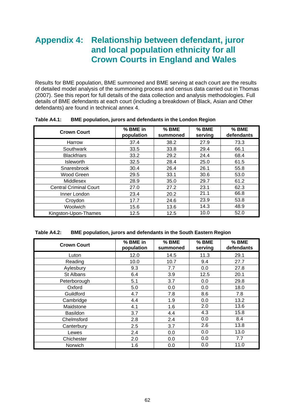# **Appendix 4: Relationship between defendant, juror and local population ethnicity for all Crown Courts in England and Wales**

Results for BME population, BME summoned and BME serving at each court are the results of detailed model analysis of the summoning process and census data carried out in Thomas (2007). See this report for full details of the data collection and analysis methodologies. Full details of BME defendants at each court (including a breakdown of Black, Asian and Other defendants) are found in technical annex 4.

| <b>Crown Court</b>            | % BME in<br>population | % BME<br>summoned | % BME<br>serving | % BME<br>defendants |
|-------------------------------|------------------------|-------------------|------------------|---------------------|
| Harrow                        | 37.4                   | 38.2              | 27.9             | 73.3                |
| Southwark                     | 33.5                   | 33.8              | 29.4             | 66.1                |
| <b>Blackfriars</b>            | 33.2                   | 29.2              | 24.4             | 68.4                |
| Isleworth                     | 32.5                   | 28.4              | 25.0             | 61.5                |
| Snaresbrook                   | 30.4                   | 26.4              | 26.1             | 55.8                |
| Wood Green                    | 29.5                   | 33.1              | 30.6             | 53.0                |
| Middlesex                     | 28.9                   | 35.0              | 29.7             | 61.2                |
| <b>Central Criminal Court</b> | 27.0                   | 27.2              | 23.1             | 62.3                |
| Inner London                  | 23.4                   | 20.2              | 21.1             | 66.8                |
| Croydon                       | 17.7                   | 24.6              | 23.9             | 53.8                |
| Woolwich                      | 15.6                   | 13.6              | 14.3             | 48.9                |
| Kingston-Upon-Thames          | 12.5                   | 12.5              | 10.0             | 52.0                |

#### **Table A4.1: BME population, jurors and defendants in the London Region**

#### **Table A4.2: BME population, jurors and defendants in the South Eastern Region**

| <b>Crown Court</b> | % BME in<br>population | % BME<br>summoned | % BME<br>serving | % BME<br>defendants |
|--------------------|------------------------|-------------------|------------------|---------------------|
| Luton              | 12.0                   | 14.5              | 11.3             | 29.1                |
| Reading            | 10.0                   | 10.7              | 9.4              | 27.7                |
| Aylesbury          | 9.3                    | 7.7               | 0.0              | 27.8                |
| St Albans          | 6.4                    | 3.9               | 12.5             | 20.1                |
| Peterborough       | 5.1                    | 3.7               | 0.0              | 29.8                |
| Oxford             | 5.0                    | 0.0               | 0.0              | 18.0                |
| Guildford          | 4.7                    | 7.8               | 8.6              | 7.8                 |
| Cambridge          | 4.4                    | 1.9               | 0.0              | 13.2                |
| Maidstone          | 4.1                    | 1.6               | 2.0              | 13.6                |
| <b>Basildon</b>    | 3.7                    | 4.4               | 4.3              | 15.8                |
| Chelmsford         | 2.8                    | 2.4               | 0.0              | 8.4                 |
| Canterbury         | 2.5                    | 3.7               | 2.6              | 13.8                |
| Lewes              | 2.4                    | 0.0               | 0.0              | 13.0                |
| Chichester         | 2.0                    | 0.0               | 0.0              | 7.7                 |
| Norwich            | 1.6                    | 0.0               | 0.0              | 11.0                |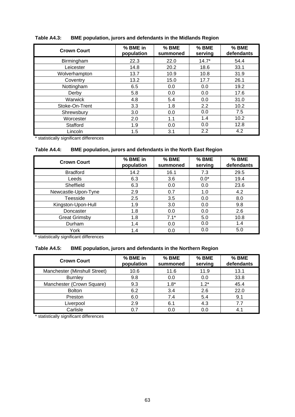| <b>Crown Court</b> | % BME in<br>population | % BME<br>summoned | % BME<br>serving | % BME<br>defendants |
|--------------------|------------------------|-------------------|------------------|---------------------|
| Birmingham         | 22.3                   | 22.0              | $14.7*$          | 54.4                |
| Leicester          | 14.8                   | 20.2              | 18.6             | 33.1                |
| Wolverhampton      | 13.7                   | 10.9              | 10.8             | 31.9                |
| Coventry           | 13.2                   | 15.0              | 17.7             | 26.1                |
| Nottingham         | 6.5                    | 0.0               | 0.0              | 19.2                |
| Derby              | 5.8                    | 0.0               | 0.0              | 17.6                |
| Warwick            | 4.8                    | 5.4               | 0.0              | 31.0                |
| Stoke-On-Trent     | 3.3                    | 1.8               | 2.2              | 10.2                |
| Shrewsbury         | 3.0                    | 0.0               | 0.0              | 7.5                 |
| Worcester          | 2.0                    | 1.1               | 1.4              | 10.2                |
| Stafford           | 1.9                    | 0.0               | 0.0              | 12.8                |
| Lincoln            | 1.5                    | 3.1               | 2.2              | 4.2                 |

#### **Table A4.3: BME population, jurors and defendants in the Midlands Region**

\* statistically significant differences

#### **Table A4.4: BME population, jurors and defendants in the North East Region**

| <b>Crown Court</b>   | % BME in<br>population | % BME<br>summoned | % BME<br>serving | % BME<br>defendants |
|----------------------|------------------------|-------------------|------------------|---------------------|
| <b>Bradford</b>      | 14.2                   | 16.1              | 7.3              | 29.5                |
| Leeds                | 6.3                    | 3.6               | $0.0*$           | 19.4                |
| Sheffield            | 6.3                    | 0.0               | 0.0              | 23.6                |
| Newcastle-Upon-Tyne  | 2.9                    | 0.7               | 1.0              | 4.2                 |
| Teesside             | 2.5                    | 3.5               | 0.0              | 8.0                 |
| Kingston-Upon-Hull   | 1.9                    | 3.0               | 0.0              | 9.8                 |
| Doncaster            | 1.8                    | 0.0               | 0.0              | 2.6                 |
| <b>Great Grimsby</b> | 1.8                    | $7.1*$            | 5.0              | 10.8                |
| Durham               | 1.4                    | 0.0               | 0.0              | 1.4                 |
| York                 | 1.4                    | 0.0               | 0.0              | 5.0                 |

\* statistically significant differences

#### **Table A4.5: BME population, jurors and defendants in the Northern Region**

| <b>Crown Court</b>           | % BME in<br>population | % BME<br>summoned | % BME<br>serving | % BME<br>defendants |
|------------------------------|------------------------|-------------------|------------------|---------------------|
| Manchester (Minshull Street) | 10.6                   | 11.6              | 11.9             | 13.1                |
| <b>Burnley</b>               | 9.8                    | 0.0               | 0.0              | 33.8                |
| Manchester (Crown Square)    | 9.3                    | $1.8*$            | $1.2*$           | 45.4                |
| <b>Bolton</b>                | 6.2                    | 3.4               | 2.6              | 22.0                |
| Preston                      | 6.0                    | 7.4               | 5.4              | 9.1                 |
| Liverpool                    | 2.9                    | 6.1               | 4.3              | 7.7                 |
| Carlisle                     |                        | 0.0               | 0.0              | 4.1                 |

\* statistically significant differences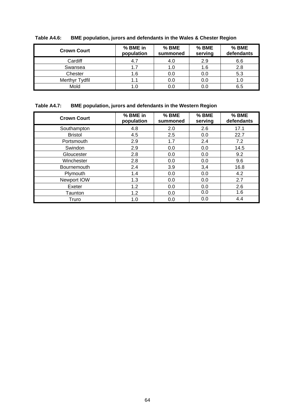| <b>Crown Court</b> | % BME in<br>population | % BME<br>summoned | % BME<br>serving | % BME<br>defendants |
|--------------------|------------------------|-------------------|------------------|---------------------|
| Cardiff            |                        | 4.0               | 2.9              | 6.6                 |
| Swansea            | 1.7                    | 1.0               | 1.6              | 2.8                 |
| Chester            | 1.6                    | 0.0               | 0.0              | 5.3                 |
| Merthyr Tydfil     | 1.1                    | 0.0               | 0.0              | 1.0                 |
| Mold               |                        | 0.0               | 0.0              | 6.5                 |

**Table A4.6: BME population, jurors and defendants in the Wales & Chester Region** 

### **Table A4.7: BME population, jurors and defendants in the Western Region**

| <b>Crown Court</b> | % BME in<br>population | % BME<br>summoned | % BME<br>serving | % BME<br>defendants |
|--------------------|------------------------|-------------------|------------------|---------------------|
| Southampton        | 4.8                    | 2.0               | 2.6              | 17.1                |
| <b>Bristol</b>     | 4.5                    | 2.5               | 0.0              | 22.7                |
| Portsmouth         | 2.9                    | 1.7               | 2.4              | 7.2                 |
| Swindon            | 2.9                    | 0.0               | 0.0              | 14.5                |
| Gloucester         | 2.8                    | 0.0               | 0.0              | 9.2                 |
| Winchester         | 2.8                    | 0.0               | 0.0              | 9.6                 |
| <b>Bournemouth</b> | 2.4                    | 3.9               | 3,4              | 16.8                |
| Plymouth           | 1.4                    | 0.0               | 0.0              | 4.2                 |
| Newport IOW        | 1.3                    | 0.0               | 0.0              | 2.7                 |
| Exeter             | 1.2                    | 0.0               | 0.0              | 2.6                 |
| Taunton            | 1.2                    | 0.0               | 0.0              | 1.6                 |
| Truro              | 1.0                    | 0.0               | 0.0              | 4.4                 |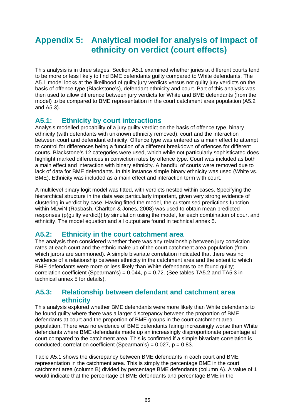# **Appendix 5: Analytical model for analysis of impact of ethnicity on verdict (court effects)**

This analysis is in three stages. Section A5.1 examined whether juries at different courts tend to be more or less likely to find BME defendants guilty compared to White defendants. The A5.1 model looks at the likelihood of guilty jury verdicts versus not guilty jury verdicts on the basis of offence type (Blackstone's), defendant ethnicity and court. Part of this analysis was then used to allow difference between jury verdicts for White and BME defendants (from the model) to be compared to BME representation in the court catchment area population (A5.2 and A5.3).

## **A5.1: Ethnicity by court interactions**

Analysis modelled probability of a jury guilty verdict on the basis of offence type, binary ethnicity (with defendants with unknown ethnicity removed), court and the interaction between court and defendant ethnicity. Offence type was entered as a main effect to attempt to control for differences being a function of a different breakdown of offences for different courts. Blackstone's 12 categories were used, which while not particularly sophisticated does highlight marked differences in conviction rates by offence type. Court was included as both a main effect and interaction with binary ethnicity. A handful of courts were removed due to lack of data for BME defendants. In this instance simple binary ethnicity was used (White vs. BME). Ethnicity was included as a main effect and interaction term with court.

A multilevel binary logit model was fitted, with verdicts nested within cases. Specifying the hierarchical structure in the data was particularly important, given very strong evidence of clustering in verdict by case. Having fitted the model, the customised predictions function within MLwiN (Rasbash, Charlton & Jones, 2008) was used to obtain mean predicted responses (p(guilty verdict)) by simulation using the model, for each combination of court and ethnicity. The model equation and all output are found in technical annex 5.

## **A5.2: Ethnicity in the court catchment area**

The analysis then considered whether there was any relationship between jury conviction rates at each court and the ethnic make up of the court catchment area population (from which jurors are summoned). A simple bivariate correlation indicated that there was no evidence of a relationship between ethnicity in the catchment area and the extent to which BME defendants were more or less likely than White defendants to be found guilty; correlation coefficient (Spearman's) =  $0.044$ ,  $p = 0.72$ . (See tables TA5.2 and TA5.3 in technical annex 5 for details).

## **A5.3: Relationship between defendant and catchment area ethnicity**

This analysis explored whether BME defendants were more likely than White defendants to be found guilty where there was a larger discrepancy between the proportion of BME defendants at court and the proportion of BME groups in the court catchment area population. There was no evidence of BME defendants fairing increasingly worse than White defendants where BME defendants made up an increasingly disproportionate percentage at court compared to the catchment area. This is confirmed if a simple bivariate correlation is conducted; correlation coefficient (Spearman's) =  $0.027$ ,  $p = 0.83$ .

Table A5.1 shows the discrepancy between BME defendants in each court and BME representation in the catchment area. This is simply the percentage BME in the court catchment area (column B) divided by percentage BME defendants (column A). A value of 1 would indicate that the percentage of BME defendants and percentage BME in the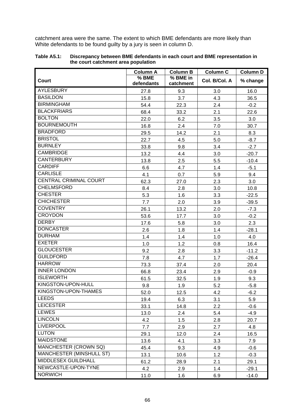catchment area were the same. The extent to which BME defendants are more likely than White defendants to be found guilty by a jury is seen in column D.

|                                                                                                 | <b>Column A</b>             | <b>Column B</b>            | <b>Column C</b>          | <b>Column D</b>                      |
|-------------------------------------------------------------------------------------------------|-----------------------------|----------------------------|--------------------------|--------------------------------------|
| Court                                                                                           | % BME                       | % BME in                   | Col. B/Col. A            | % change                             |
| <b>AYLESBURY</b>                                                                                | defendants                  | catchment                  |                          |                                      |
|                                                                                                 | 27.8                        | 9.3                        | 3.0                      | 16.0                                 |
| <b>BASILDON</b>                                                                                 | 15.8                        | 3.7                        | 4.3                      | 36.5                                 |
| <b>BIRMINGHAM</b>                                                                               | 54.4                        | 22.3                       | 2.4                      | $-0.2$                               |
| <b>BLACKFRIARS</b>                                                                              | 68.4                        | 33.2                       | 2.1                      | 22.6                                 |
| <b>BOLTON</b>                                                                                   | 22.0                        | 6.2                        | 3.5                      | 3.0                                  |
| <b>BOURNEMOUTH</b>                                                                              | 16.8                        | 2.4                        | 7.0                      | 30.7                                 |
| <b>BRADFORD</b>                                                                                 | 29.5                        | 14.2                       | 2.1                      | 8.3                                  |
| <b>BRISTOL</b>                                                                                  | 22.7                        | 4.5                        | 5.0                      | $-8.7$                               |
| <b>BURNLEY</b>                                                                                  | 33.8                        | 9.8                        | 3.4                      | $-2.7$                               |
| <b>CAMBRIDGE</b>                                                                                | 13.2                        | 4.4                        | 3.0                      | $-20.7$                              |
| <b>CANTERBURY</b>                                                                               | 13.8                        | 2.5                        | 5.5                      | $-10.4$                              |
| <b>CARDIFF</b>                                                                                  | 6.6                         | 4.7                        | 1.4                      | $-5.1$                               |
| <b>CARLISLE</b>                                                                                 | 4.1                         | 0.7                        | 5.9                      | 9.4                                  |
| CENTRAL CRIMINAL COURT                                                                          | 62.3                        | 27.0                       | 2.3                      | 3.0                                  |
| <b>CHELMSFORD</b>                                                                               | 8.4                         | 2.8                        | 3.0                      | 10.8                                 |
| <b>CHESTER</b>                                                                                  | 5.3                         | 1.6                        | 3.3                      | $-22.5$                              |
| <b>CHICHESTER</b>                                                                               | 7.7                         | 2.0                        | 3.9                      | $-39.5$                              |
| <b>COVENTRY</b>                                                                                 | 26.1                        | 13.2                       | 2.0                      | $-7.3$                               |
| <b>CROYDON</b>                                                                                  | 53.6                        | 17.7                       | 3.0                      | $-0.2$                               |
| <b>DERBY</b>                                                                                    | 17.6                        | 5.8                        | 3.0                      | 2.3                                  |
| <b>DONCASTER</b>                                                                                | 2.6                         | 1.8                        | 1.4                      | $-28.1$                              |
| <b>DURHAM</b>                                                                                   | 1.4                         | 1.4                        | 1.0                      | 4.0                                  |
| <b>EXETER</b>                                                                                   | 1.0                         | 1.2                        | 0.8                      | 16.4                                 |
| <b>GLOUCESTER</b>                                                                               | 9.2                         | 2.8                        | 3.3                      | $-11.2$                              |
| <b>GUILDFORD</b>                                                                                | 7.8                         | 4.7                        | 1.7                      | $-26.4$                              |
| <b>HARROW</b>                                                                                   | 73.3                        | 37.4                       | 2.0                      | 20.4                                 |
| <b>INNER LONDON</b>                                                                             | 66.8                        | 23.4                       | 2.9                      | $-0.9$                               |
| <b>ISLEWORTH</b>                                                                                | 61.5                        | 32.5                       | 1.9                      | 9.3                                  |
| KINGSTON-UPON-HULL                                                                              | 9.8                         | 1.9                        | 5.2                      | $-5.8$                               |
| KINGSTON-UPON-THAMES                                                                            | 52.0                        | 12.5                       | 4.2                      | $-6.2$                               |
| <b>LEEDS</b>                                                                                    | 19.4                        | 6.3                        | 3.1                      | 5.9                                  |
| <b>LEICESTER</b>                                                                                | 33.1                        | 14.8                       | 2.2                      | $-0.6$                               |
| <b>LEWES</b>                                                                                    | 13.0                        | 2.4                        | 5.4                      | $-4.9$                               |
| <b>LINCOLN</b>                                                                                  | 4.2                         | 1.5                        | 2.8                      | 20.7                                 |
| <b>LIVERPOOL</b>                                                                                | 7.7                         | 2.9                        | 2.7                      | 4.8                                  |
| <b>LUTON</b>                                                                                    | 29.1                        | 12.0                       | 2.4                      | 16.5                                 |
| <b>MAIDSTONE</b>                                                                                | 13.6                        | 4.1                        | 3.3                      | 7.9                                  |
| MANCHESTER (CROWN SQ)                                                                           | 45.4                        | 9.3                        | 4.9                      | $-0.6$                               |
|                                                                                                 |                             |                            |                          |                                      |
|                                                                                                 |                             |                            |                          |                                      |
|                                                                                                 |                             |                            |                          |                                      |
|                                                                                                 |                             |                            |                          |                                      |
| <b>MANCHESTER (MINSHULL ST)</b><br>MIDDLESEX GUILDHALL<br>NEWCASTLE-UPON-TYNE<br><b>NORWICH</b> | 13.1<br>61.2<br>4.2<br>11.0 | 10.6<br>28.9<br>2.9<br>1.6 | 1.2<br>2.1<br>1.4<br>6.9 | $-0.3$<br>29.1<br>$-29.1$<br>$-14.0$ |

#### **Table A5.1: Discrepancy between BME defendants in each court and BME representation in the court catchment area population**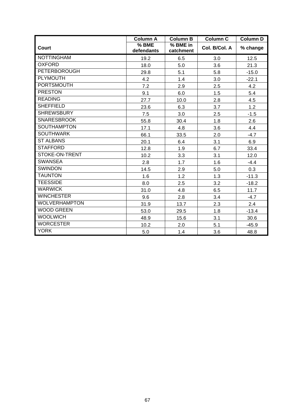|                       | <b>Column A</b>                   | <b>Column B</b>       | <b>Column C</b> | <b>Column D</b> |
|-----------------------|-----------------------------------|-----------------------|-----------------|-----------------|
| Court                 | $\overline{\%}$ BME<br>defendants | % BME in<br>catchment | Col. B/Col. A   | % change        |
| <b>NOTTINGHAM</b>     | 19.2                              | 6.5                   | 3.0             | 12.5            |
| <b>OXFORD</b>         | 18.0                              | 5.0                   | 3.6             | 21.3            |
| <b>PETERBOROUGH</b>   | 29.8                              | 5.1                   | 5.8             | $-15.0$         |
| PLYMOUTH              | 4.2                               | 1.4                   | 3.0             | $-22.1$         |
| <b>PORTSMOUTH</b>     | 7.2                               | 2.9                   | 2.5             | 4.2             |
| <b>PRESTON</b>        | 9.1                               | 6.0                   | 1.5             | 5.4             |
| <b>READING</b>        | 27.7                              | 10.0                  | 2.8             | 4.5             |
| <b>SHEFFIELD</b>      | 23.6                              | 6.3                   | 3.7             | 1.2             |
| <b>SHREWSBURY</b>     | 7.5                               | 3.0                   | 2.5             | $-1.5$          |
| <b>SNARESBROOK</b>    | 55.8                              | 30.4                  | 1.8             | 2.6             |
| <b>SOUTHAMPTON</b>    | 17.1                              | 4.8                   | 3.6             | 4.4             |
| <b>SOUTHWARK</b>      | 66.1                              | 33.5                  | 2.0             | $-4.7$          |
| <b>ST ALBANS</b>      | 20.1                              | 6.4                   | 3.1             | 6.9             |
| <b>STAFFORD</b>       | 12.8                              | 1.9                   | 6.7             | 33.4            |
| <b>STOKE-ON-TRENT</b> | 10.2                              | 3.3                   | 3.1             | 12.0            |
| <b>SWANSEA</b>        | 2.8                               | 1.7                   | 1.6             | $-4.4$          |
| <b>SWINDON</b>        | 14.5                              | 2.9                   | 5.0             | 0.3             |
| <b>TAUNTON</b>        | 1.6                               | 1.2                   | 1.3             | $-11.3$         |
| <b>TEESSIDE</b>       | 8.0                               | 2.5                   | 3.2             | $-18.2$         |
| <b>WARWICK</b>        | 31.0                              | 4.8                   | 6.5             | 11.7            |
| <b>WINCHESTER</b>     | 9.6                               | 2.8                   | 3.4             | $-4.7$          |
| <b>WOLVERHAMPTON</b>  | 31.9                              | 13.7                  | 2.3             | 2.4             |
| <b>WOOD GREEN</b>     | 53.0                              | 29.5                  | 1.8             | $-13.4$         |
| <b>WOOLWICH</b>       | 48.9                              | 15.6                  | 3.1             | 30.6            |
| <b>WORCESTER</b>      | 10.2                              | 2.0                   | 5.1             | $-45.9$         |
| <b>YORK</b>           | 5.0                               | 1.4                   | 3.6             | 48.8            |